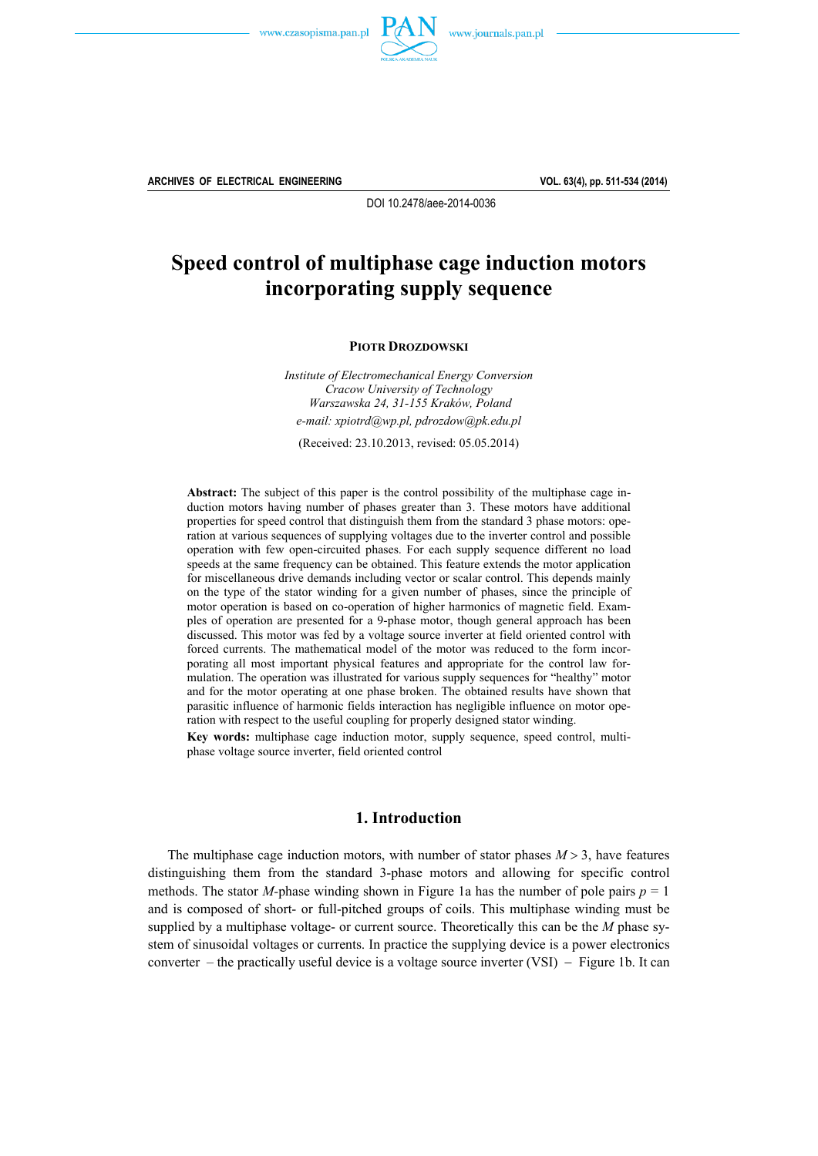



**ARCHIVES OF ELECTRICAL ENGINEERING VOL. 63(4), pp. 511-534 (2014)**

DOI 10.2478/aee-2014-0036

# **Speed control of multiphase cage induction motors incorporating supply sequence**

**PIOTR DROZDOWSKI**

*Institute of Electromechanical Energy Conversion Cracow University of Technology Warszawska 24, 31-155 Kraków, Poland e-mail: xpiotrd@wp.pl, pdrozdow@pk.edu.pl* 

(Received: 23.10.2013, revised: 05.05.2014)

**Abstract:** The subject of this paper is the control possibility of the multiphase cage induction motors having number of phases greater than 3. These motors have additional properties for speed control that distinguish them from the standard 3 phase motors: operation at various sequences of supplying voltages due to the inverter control and possible operation with few open-circuited phases. For each supply sequence different no load speeds at the same frequency can be obtained. This feature extends the motor application for miscellaneous drive demands including vector or scalar control. This depends mainly on the type of the stator winding for a given number of phases, since the principle of motor operation is based on co-operation of higher harmonics of magnetic field. Examples of operation are presented for a 9-phase motor, though general approach has been discussed. This motor was fed by a voltage source inverter at field oriented control with forced currents. The mathematical model of the motor was reduced to the form incorporating all most important physical features and appropriate for the control law formulation. The operation was illustrated for various supply sequences for "healthy" motor and for the motor operating at one phase broken. The obtained results have shown that parasitic influence of harmonic fields interaction has negligible influence on motor operation with respect to the useful coupling for properly designed stator winding.

**Key words:** multiphase cage induction motor, supply sequence, speed control, multiphase voltage source inverter, field oriented control

# **1. Introduction**

The multiphase cage induction motors, with number of stator phases  $M > 3$ , have features distinguishing them from the standard 3-phase motors and allowing for specific control methods. The stator *M*-phase winding shown in Figure 1a has the number of pole pairs  $p = 1$ and is composed of short- or full-pitched groups of coils. This multiphase winding must be supplied by a multiphase voltage- or current source. Theoretically this can be the *M* phase system of sinusoidal voltages or currents. In practice the supplying device is a power electronics converter – the practically useful device is a voltage source inverter (VSI) – Figure 1b. It can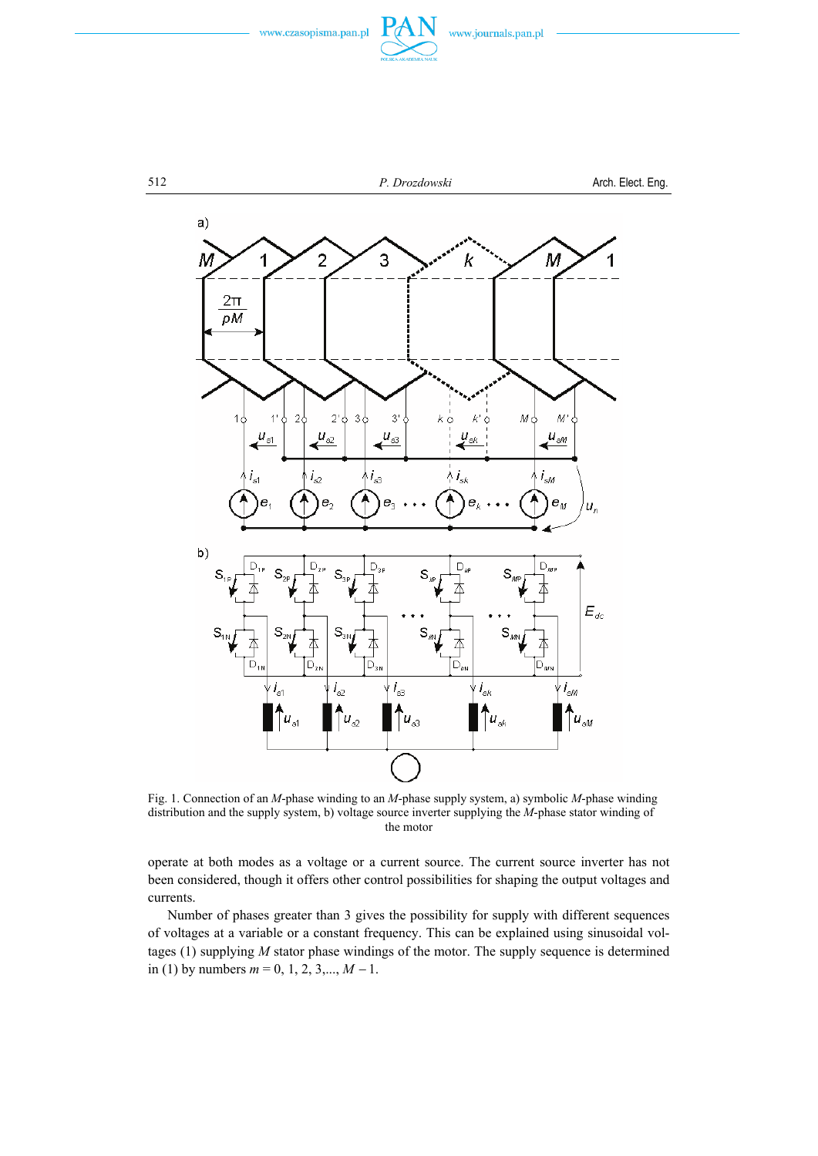



Fig. 1. Connection of an *M*-phase winding to an *M*-phase supply system, a) symbolic *M*-phase winding distribution and the supply system, b) voltage source inverter supplying the *M*-phase stator winding of the motor

operate at both modes as a voltage or a current source. The current source inverter has not been considered, though it offers other control possibilities for shaping the output voltages and currents.

 Number of phases greater than 3 gives the possibility for supply with different sequences of voltages at a variable or a constant frequency. This can be explained using sinusoidal voltages (1) supplying *M* stator phase windings of the motor. The supply sequence is determined in (1) by numbers *m* = 0, 1, 2, 3,..., *M* <sup>−</sup> 1.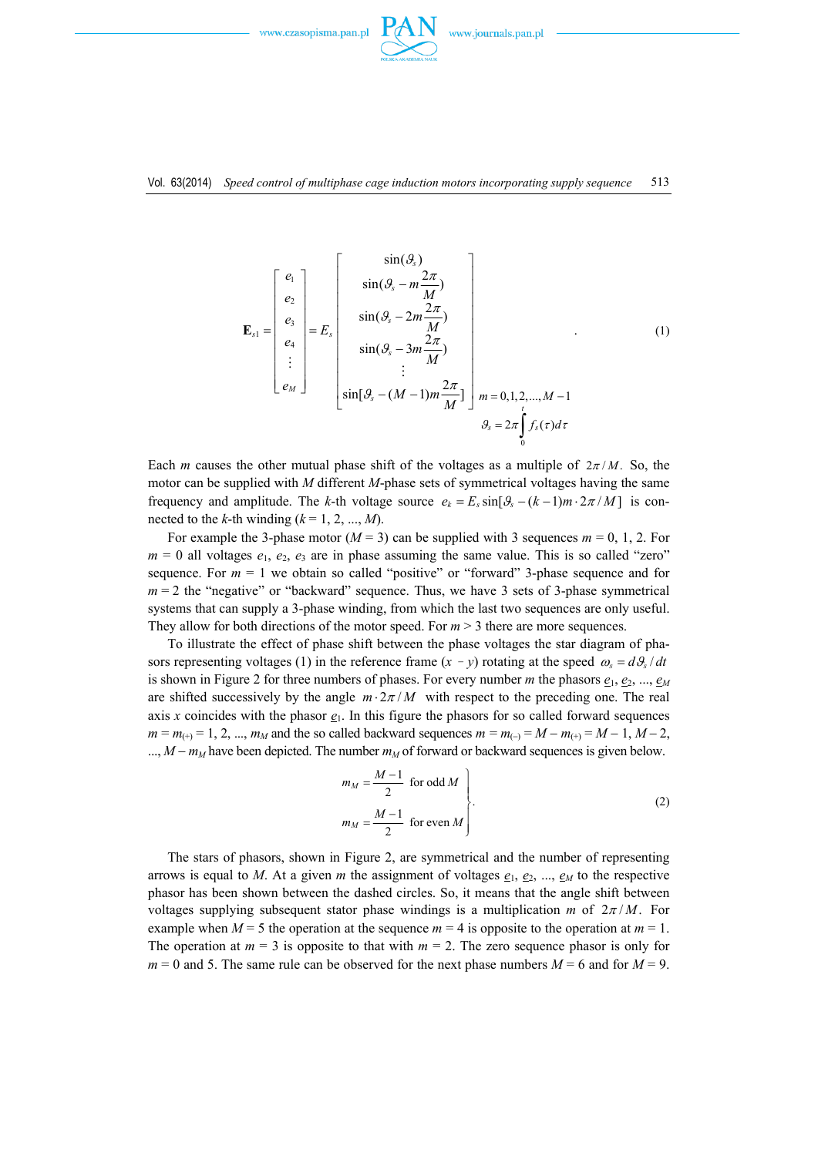

. (1)



$$
\mathbf{E}_{s1} = \begin{bmatrix} e_1 \\ e_2 \\ e_3 \\ e_4 \\ \vdots \\ e_M \end{bmatrix} = E_s \begin{bmatrix} \sin(\theta_s) \\ \sin(\theta_s - m\frac{2\pi}{M}) \\ \sin(\theta_s - 2m\frac{2\pi}{M}) \\ \vdots \\ \sin(\theta_s - (M-1)m\frac{2\pi}{M}) \\ \vdots \\ \sin[\theta_s - (M-1)m\frac{2\pi}{M}] \end{bmatrix} m = 0, 1, 2, ..., M-1
$$
  

$$
\theta_s = 2\pi \int_0^t f_s(\tau) d\tau
$$

Each *m* causes the other mutual phase shift of the voltages as a multiple of  $2\pi/M$ . So, the motor can be supplied with *M* different *M*-phase sets of symmetrical voltages having the same frequency and amplitude. The *k*-th voltage source  $e_k = E_s \sin[\theta_s - (k-1)m \cdot 2\pi/M]$  is connected to the *k*-th winding  $(k = 1, 2, ..., M)$ .

For example the 3-phase motor ( $M = 3$ ) can be supplied with 3 sequences  $m = 0, 1, 2$ . For  $m = 0$  all voltages  $e_1, e_2, e_3$  are in phase assuming the same value. This is so called "zero" sequence. For  $m = 1$  we obtain so called "positive" or "forward" 3-phase sequence and for  $m = 2$  the "negative" or "backward" sequence. Thus, we have 3 sets of 3-phase symmetrical systems that can supply a 3-phase winding, from which the last two sequences are only useful. They allow for both directions of the motor speed. For  $m > 3$  there are more sequences.

 To illustrate the effect of phase shift between the phase voltages the star diagram of phasors representing voltages (1) in the reference frame  $(x - y)$  rotating at the speed  $\omega_s = d\theta_s/dt$ is shown in Figure 2 for three numbers of phases. For every number *m* the phasors  $e_1, e_2, ..., e_M$ are shifted successively by the angle  $m \cdot 2\pi / M$  with respect to the preceding one. The real axis *x* coincides with the phasor  $\mathbf{e}_1$ . In this figure the phasors for so called forward sequences  $m = m_{(+)} = 1, 2, ..., m_M$  and the so called backward sequences  $m = m_{(-)} = M - m_{(+)} = M - 1, M - 2,$ ..., *M* − *m<sub>M</sub>* have been depicted. The number *m<sub>M</sub>* of forward or backward sequences is given below.

$$
m_M = \frac{M-1}{2} \text{ for odd } M
$$
  

$$
m_M = \frac{M-1}{2} \text{ for even } M
$$
 (2)

 The stars of phasors, shown in Figure 2, are symmetrical and the number of representing arrows is equal to *M*. At a given *m* the assignment of voltages  $\mathbf{e}_1$ ,  $\mathbf{e}_2$ , ...,  $\mathbf{e}_M$  to the respective phasor has been shown between the dashed circles. So, it means that the angle shift between voltages supplying subsequent stator phase windings is a multiplication *m* of  $2\pi/M$ . For example when  $M = 5$  the operation at the sequence  $m = 4$  is opposite to the operation at  $m = 1$ . The operation at  $m = 3$  is opposite to that with  $m = 2$ . The zero sequence phasor is only for  $m = 0$  and 5. The same rule can be observed for the next phase numbers  $M = 6$  and for  $M = 9$ .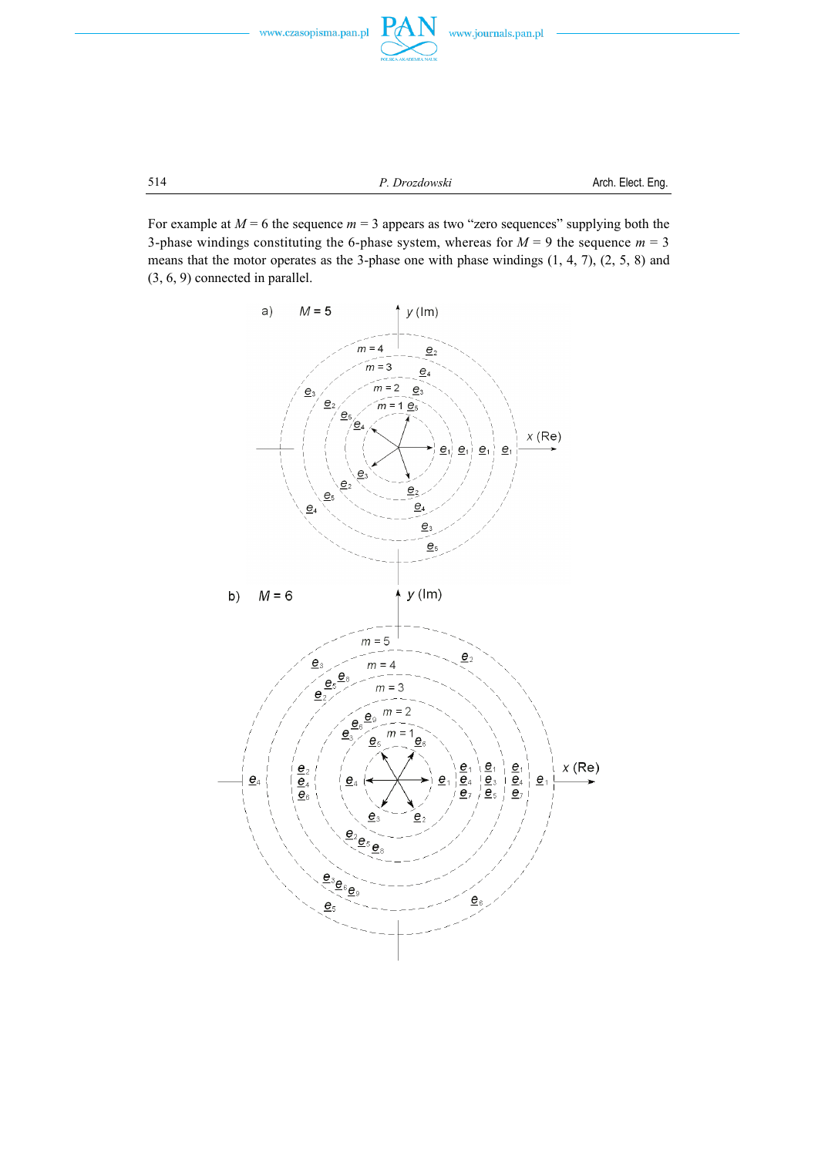

514 *P. Drozdowski* Arch. Elect. Eng.

For example at  $M = 6$  the sequence  $m = 3$  appears as two "zero sequences" supplying both the 3-phase windings constituting the 6-phase system, whereas for  $M = 9$  the sequence  $m = 3$ means that the motor operates as the 3-phase one with phase windings (1, 4, 7), (2, 5, 8) and (3, 6, 9) connected in parallel.

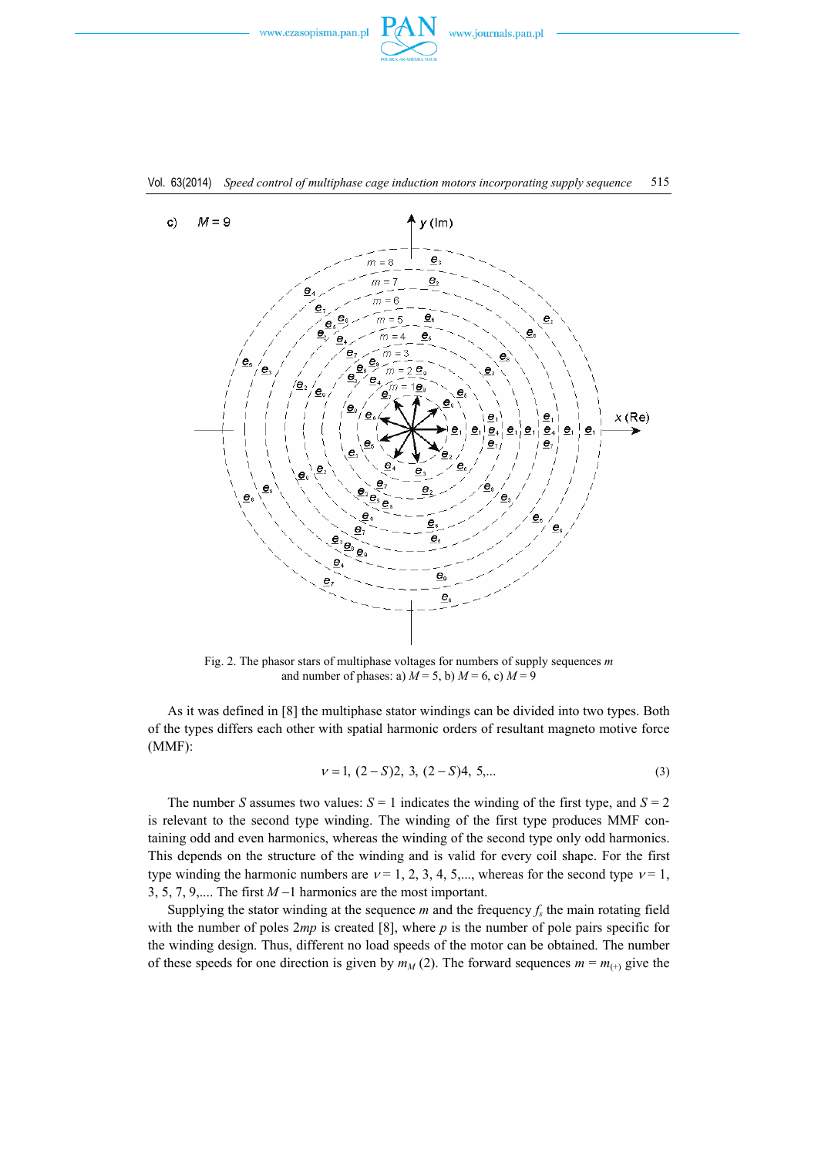





Fig. 2. The phasor stars of multiphase voltages for numbers of supply sequences *m* and number of phases: a)  $M = 5$ , b)  $M = 6$ , c)  $M = 9$ 

 As it was defined in [8] the multiphase stator windings can be divided into two types. Both of the types differs each other with spatial harmonic orders of resultant magneto motive force (MMF):

$$
\nu = 1, (2 - S)2, 3, (2 - S)4, 5, \dots \tag{3}
$$

The number *S* assumes two values:  $S = 1$  indicates the winding of the first type, and  $S = 2$ is relevant to the second type winding. The winding of the first type produces MMF containing odd and even harmonics, whereas the winding of the second type only odd harmonics. This depends on the structure of the winding and is valid for every coil shape. For the first type winding the harmonic numbers are  $v = 1, 2, 3, 4, 5,...$ , whereas for the second type  $v = 1$ , 3, 5, 7, 9,.... The first *M* −1 harmonics are the most important.

Supplying the stator winding at the sequence *m* and the frequency  $f<sub>s</sub>$  the main rotating field with the number of poles 2*mp* is created [8], where *p* is the number of pole pairs specific for the winding design. Thus, different no load speeds of the motor can be obtained. The number of these speeds for one direction is given by  $m_M$  (2). The forward sequences  $m = m_{(+)}$  give the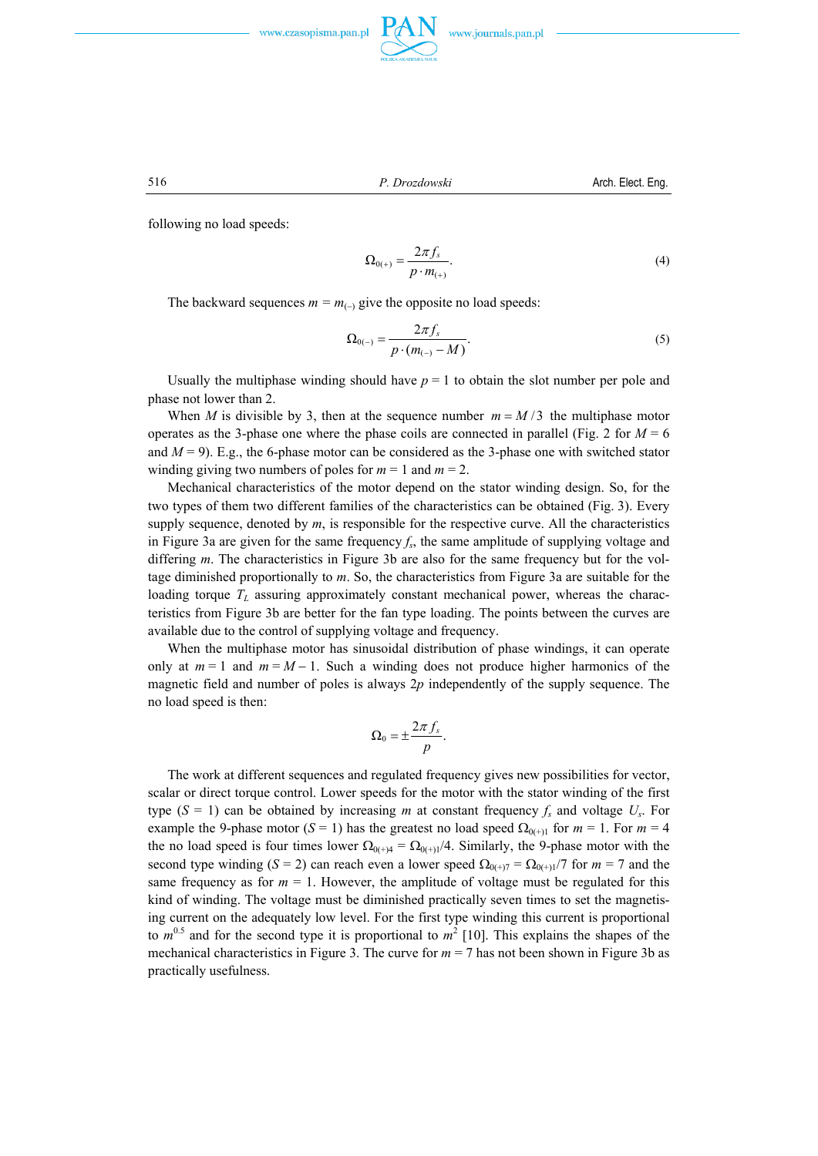





516 *P. Drozdowski* Arch. Elect. Eng.

following no load speeds:

$$
\Omega_{0(+)} = \frac{2\pi f_s}{p \cdot m_{(+)}}.\tag{4}
$$

The backward sequences  $m = m_{(-)}$  give the opposite no load speeds:

$$
\Omega_{0(-)} = \frac{2\pi f_s}{p \cdot (m_{(-)} - M)}.
$$
\n(5)

Usually the multiphase winding should have  $p = 1$  to obtain the slot number per pole and phase not lower than 2.

When *M* is divisible by 3, then at the sequence number  $m = M/3$  the multiphase motor operates as the 3-phase one where the phase coils are connected in parallel (Fig. 2 for  $M = 6$ ) and  $M = 9$ ). E.g., the 6-phase motor can be considered as the 3-phase one with switched stator winding giving two numbers of poles for  $m = 1$  and  $m = 2$ .

 Mechanical characteristics of the motor depend on the stator winding design. So, for the two types of them two different families of the characteristics can be obtained (Fig. 3). Every supply sequence, denoted by *m*, is responsible for the respective curve. All the characteristics in Figure 3a are given for the same frequency  $f_s$ , the same amplitude of supplying voltage and differing *m*. The characteristics in Figure 3b are also for the same frequency but for the voltage diminished proportionally to *m*. So, the characteristics from Figure 3a are suitable for the loading torque  $T<sub>L</sub>$  assuring approximately constant mechanical power, whereas the characteristics from Figure 3b are better for the fan type loading. The points between the curves are available due to the control of supplying voltage and frequency.

 When the multiphase motor has sinusoidal distribution of phase windings, it can operate only at  $m = 1$  and  $m = M - 1$ . Such a winding does not produce higher harmonics of the magnetic field and number of poles is always 2*p* independently of the supply sequence. The no load speed is then:

$$
\Omega_0 = \pm \frac{2\pi f_s}{p}.
$$

 The work at different sequences and regulated frequency gives new possibilities for vector, scalar or direct torque control. Lower speeds for the motor with the stator winding of the first type  $(S = 1)$  can be obtained by increasing *m* at constant frequency  $f_s$  and voltage  $U_s$ . For example the 9-phase motor (*S* = 1) has the greatest no load speed  $\Omega_{0(+)1}$  for *m* = 1. For *m* = 4 the no load speed is four times lower  $\Omega_{0(+)4} = \Omega_{0(+)1}/4$ . Similarly, the 9-phase motor with the second type winding (*S* = 2) can reach even a lower speed  $\Omega_{0(+)7} = \Omega_{0(+)7}$  for  $m = 7$  and the same frequency as for  $m = 1$ . However, the amplitude of voltage must be regulated for this kind of winding. The voltage must be diminished practically seven times to set the magnetising current on the adequately low level. For the first type winding this current is proportional to  $m^{0.5}$  and for the second type it is proportional to  $m^2$  [10]. This explains the shapes of the mechanical characteristics in Figure 3. The curve for  $m = 7$  has not been shown in Figure 3b as practically usefulness.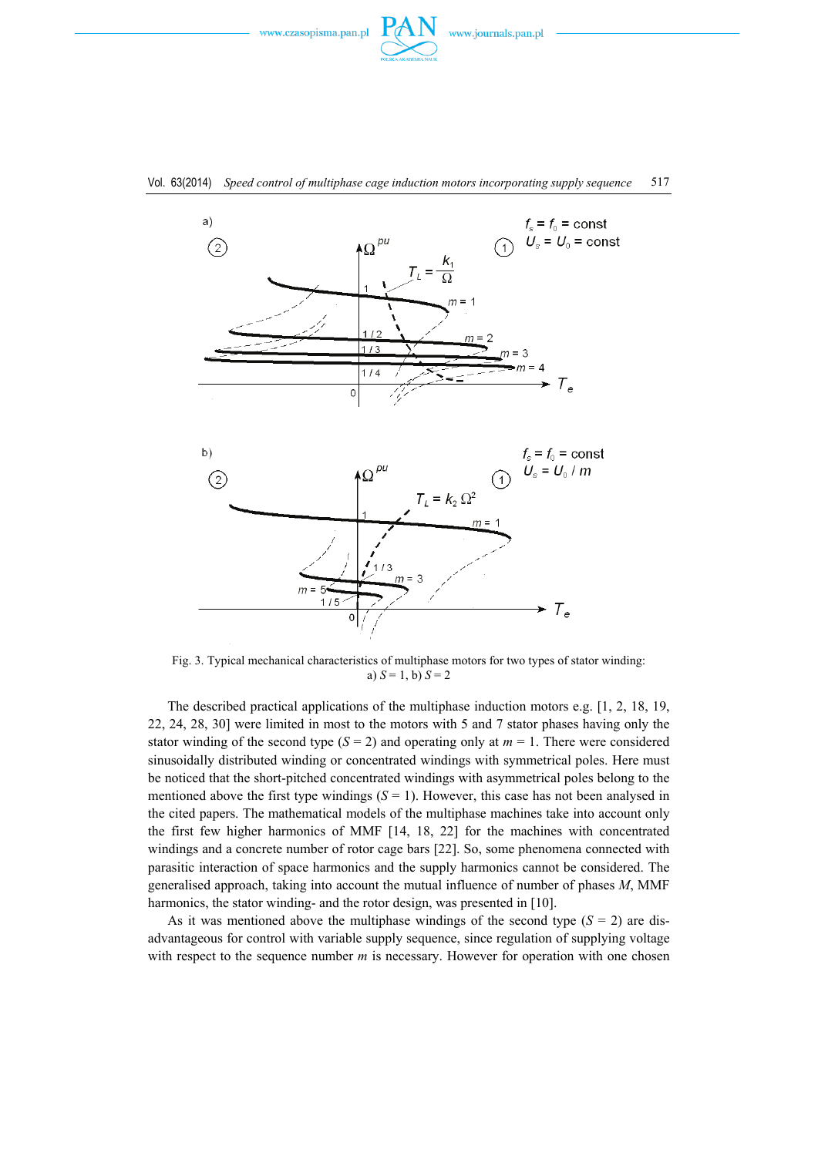







Fig. 3. Typical mechanical characteristics of multiphase motors for two types of stator winding: a)  $S = 1$ , b)  $S = 2$ 

 The described practical applications of the multiphase induction motors e.g. [1, 2, 18, 19, 22, 24, 28, 30] were limited in most to the motors with 5 and 7 stator phases having only the stator winding of the second type  $(S = 2)$  and operating only at  $m = 1$ . There were considered sinusoidally distributed winding or concentrated windings with symmetrical poles. Here must be noticed that the short-pitched concentrated windings with asymmetrical poles belong to the mentioned above the first type windings  $(S = 1)$ . However, this case has not been analysed in the cited papers. The mathematical models of the multiphase machines take into account only the first few higher harmonics of MMF [14, 18, 22] for the machines with concentrated windings and a concrete number of rotor cage bars [22]. So, some phenomena connected with parasitic interaction of space harmonics and the supply harmonics cannot be considered. The generalised approach, taking into account the mutual influence of number of phases *M*, MMF harmonics, the stator winding- and the rotor design, was presented in [10].

As it was mentioned above the multiphase windings of the second type  $(S = 2)$  are disadvantageous for control with variable supply sequence, since regulation of supplying voltage with respect to the sequence number *m* is necessary. However for operation with one chosen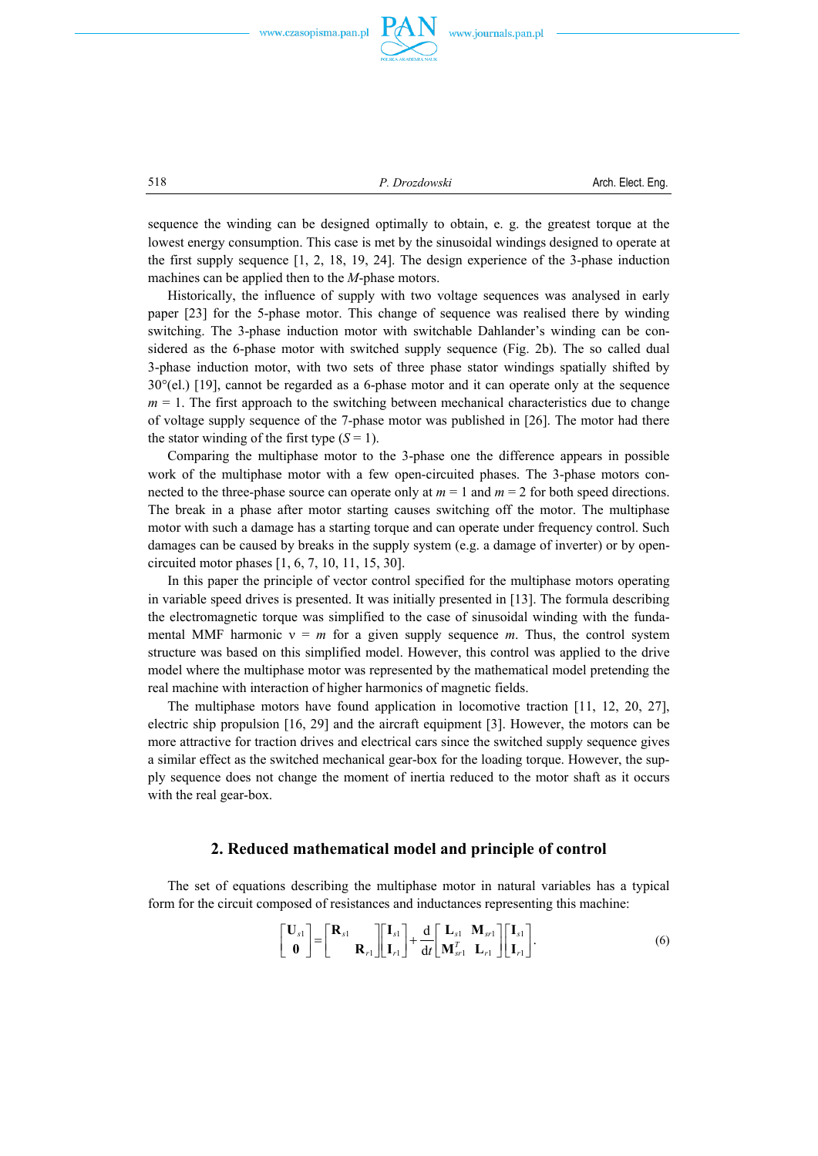

518 *P. Drozdowski* Arch. Elect. Eng.

sequence the winding can be designed optimally to obtain, e. g. the greatest torque at the lowest energy consumption. This case is met by the sinusoidal windings designed to operate at the first supply sequence [1, 2, 18, 19, 24]. The design experience of the 3-phase induction machines can be applied then to the *M*-phase motors.

 Historically, the influence of supply with two voltage sequences was analysed in early paper [23] for the 5-phase motor. This change of sequence was realised there by winding switching. The 3-phase induction motor with switchable Dahlander's winding can be considered as the 6-phase motor with switched supply sequence (Fig. 2b). The so called dual 3-phase induction motor, with two sets of three phase stator windings spatially shifted by  $30^{\circ}$ (el.) [19], cannot be regarded as a 6-phase motor and it can operate only at the sequence  $m = 1$ . The first approach to the switching between mechanical characteristics due to change of voltage supply sequence of the 7-phase motor was published in [26]. The motor had there the stator winding of the first type  $(S = 1)$ .

 Comparing the multiphase motor to the 3-phase one the difference appears in possible work of the multiphase motor with a few open-circuited phases. The 3-phase motors connected to the three-phase source can operate only at  $m = 1$  and  $m = 2$  for both speed directions. The break in a phase after motor starting causes switching off the motor. The multiphase motor with such a damage has a starting torque and can operate under frequency control. Such damages can be caused by breaks in the supply system (e.g. a damage of inverter) or by opencircuited motor phases [1, 6, 7, 10, 11, 15, 30].

 In this paper the principle of vector control specified for the multiphase motors operating in variable speed drives is presented. It was initially presented in [13]. The formula describing the electromagnetic torque was simplified to the case of sinusoidal winding with the fundamental MMF harmonic  $v = m$  for a given supply sequence *m*. Thus, the control system structure was based on this simplified model. However, this control was applied to the drive model where the multiphase motor was represented by the mathematical model pretending the real machine with interaction of higher harmonics of magnetic fields.

 The multiphase motors have found application in locomotive traction [11, 12, 20, 27], electric ship propulsion [16, 29] and the aircraft equipment [3]. However, the motors can be more attractive for traction drives and electrical cars since the switched supply sequence gives a similar effect as the switched mechanical gear-box for the loading torque. However, the supply sequence does not change the moment of inertia reduced to the motor shaft as it occurs with the real gear-box.

## **2. Reduced mathematical model and principle of control**

 The set of equations describing the multiphase motor in natural variables has a typical form for the circuit composed of resistances and inductances representing this machine:

$$
\begin{bmatrix} \mathbf{U}_{s1} \\ \mathbf{0} \end{bmatrix} = \begin{bmatrix} \mathbf{R}_{s1} \\ \mathbf{R}_{r1} \end{bmatrix} \begin{bmatrix} \mathbf{I}_{s1} \\ \mathbf{I}_{r1} \end{bmatrix} + \frac{d}{dt} \begin{bmatrix} \mathbf{L}_{s1} & \mathbf{M}_{sr1} \\ \mathbf{M}_{sr1}^T & \mathbf{L}_{r1} \end{bmatrix} \begin{bmatrix} \mathbf{I}_{s1} \\ \mathbf{I}_{r1} \end{bmatrix}.
$$
 (6)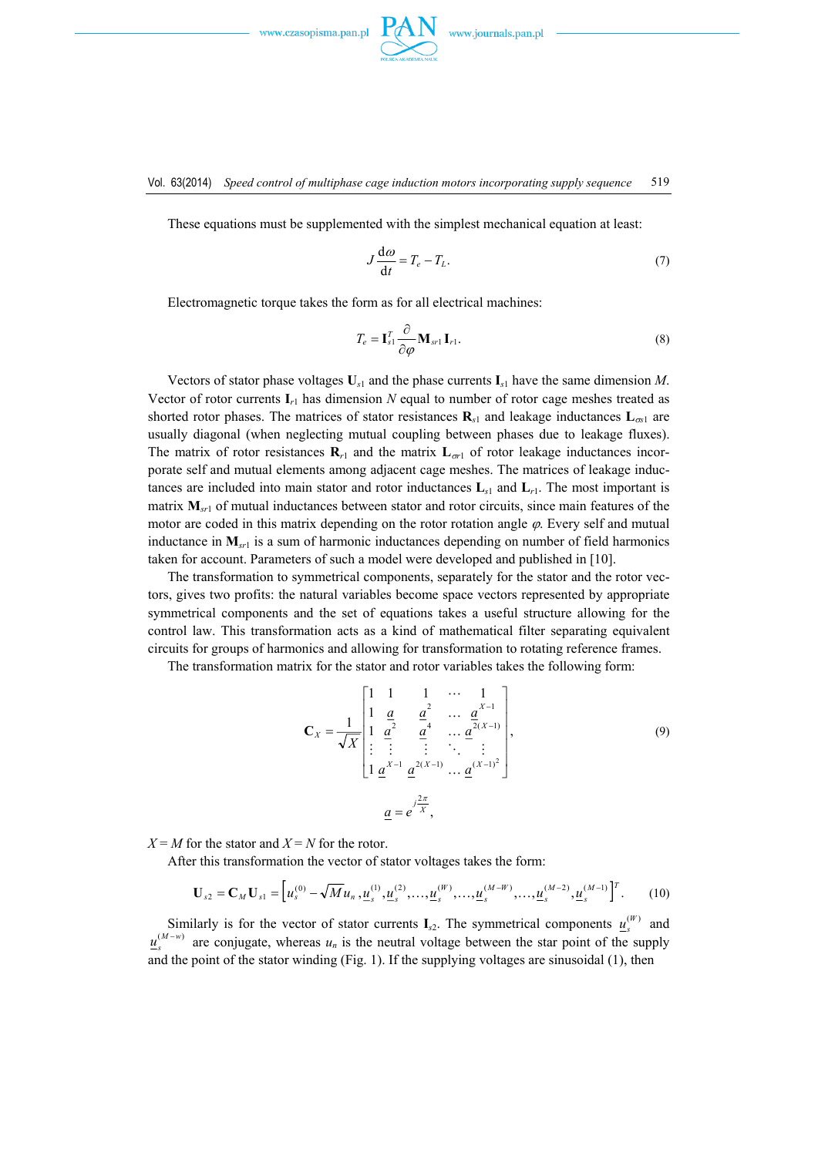

These equations must be supplemented with the simplest mechanical equation at least:

$$
J\frac{\mathrm{d}\omega}{\mathrm{d}t} = T_e - T_L. \tag{7}
$$

Electromagnetic torque takes the form as for all electrical machines:

$$
T_e = \mathbf{I}_{s1}^T \frac{\partial}{\partial \varphi} \mathbf{M}_{sr1} \, \mathbf{I}_{r1}.
$$
 (8)

Vectors of stator phase voltages  $\mathbf{U}_{s1}$  and the phase currents  $\mathbf{I}_{s1}$  have the same dimension *M*. Vector of rotor currents  $\mathbf{I}_{r1}$  has dimension *N* equal to number of rotor cage meshes treated as shorted rotor phases. The matrices of stator resistances  $\mathbf{R}_{s1}$  and leakage inductances  $\mathbf{L}_{\infty1}$  are usually diagonal (when neglecting mutual coupling between phases due to leakage fluxes). The matrix of rotor resistances  $\mathbf{R}_{r1}$  and the matrix  $\mathbf{L}_{\sigma1}$  of rotor leakage inductances incorporate self and mutual elements among adjacent cage meshes. The matrices of leakage inductances are included into main stator and rotor inductances  $\mathbf{L}_{s1}$  and  $\mathbf{L}_{r1}$ . The most important is matrix  $M_{s<sub>1</sub>}$  of mutual inductances between stator and rotor circuits, since main features of the motor are coded in this matrix depending on the rotor rotation angle  $\varphi$ . Every self and mutual inductance in  $M_{\rm{sr1}}$  is a sum of harmonic inductances depending on number of field harmonics taken for account. Parameters of such a model were developed and published in [10].

 The transformation to symmetrical components, separately for the stator and the rotor vectors, gives two profits: the natural variables become space vectors represented by appropriate symmetrical components and the set of equations takes a useful structure allowing for the control law. This transformation acts as a kind of mathematical filter separating equivalent circuits for groups of harmonics and allowing for transformation to rotating reference frames.

The transformation matrix for the stator and rotor variables takes the following form:

$$
\mathbf{C}_{X} = \frac{1}{\sqrt{X}} \begin{bmatrix} 1 & 1 & 1 & \cdots & 1 \\ 1 & \frac{a}{2} & \frac{a^{2}}{4} & \cdots & \frac{a^{X-1}}{2(X-1)} \\ \vdots & \vdots & \vdots & \ddots & \vdots \\ 1 & \frac{a^{X-1}}{2} & \frac{a^{2(X-1)}}{4} & \cdots & \frac{a^{(X-1)^{2}}}{2(X-1)} \end{bmatrix},
$$
(9)  

$$
a = e^{\int \frac{j^{2\pi}}{X}},
$$

 $X = M$  for the stator and  $X = N$  for the rotor.

After this transformation the vector of stator voltages takes the form:

$$
\mathbf{U}_{s2} = \mathbf{C}_M \mathbf{U}_{s1} = \left[ u_s^{(0)} - \sqrt{M} u_n, \underline{u}_s^{(1)}, \underline{u}_s^{(2)}, \dots, \underline{u}_s^{(W)}, \dots, \underline{u}_s^{(M-W)}, \dots, \underline{u}_s^{(M-2)}, \underline{u}_s^{(M-1)} \right]^T. \tag{10}
$$

Similarly is for the vector of stator currents  $I_{s2}$ . The symmetrical components  $u_s^{(W)}$  and  $u_s^{(M-w)}$  are conjugate, whereas  $u_n$  is the neutral voltage between the star point of the supply and the point of the stator winding (Fig. 1). If the supplying voltages are sinusoidal (1), then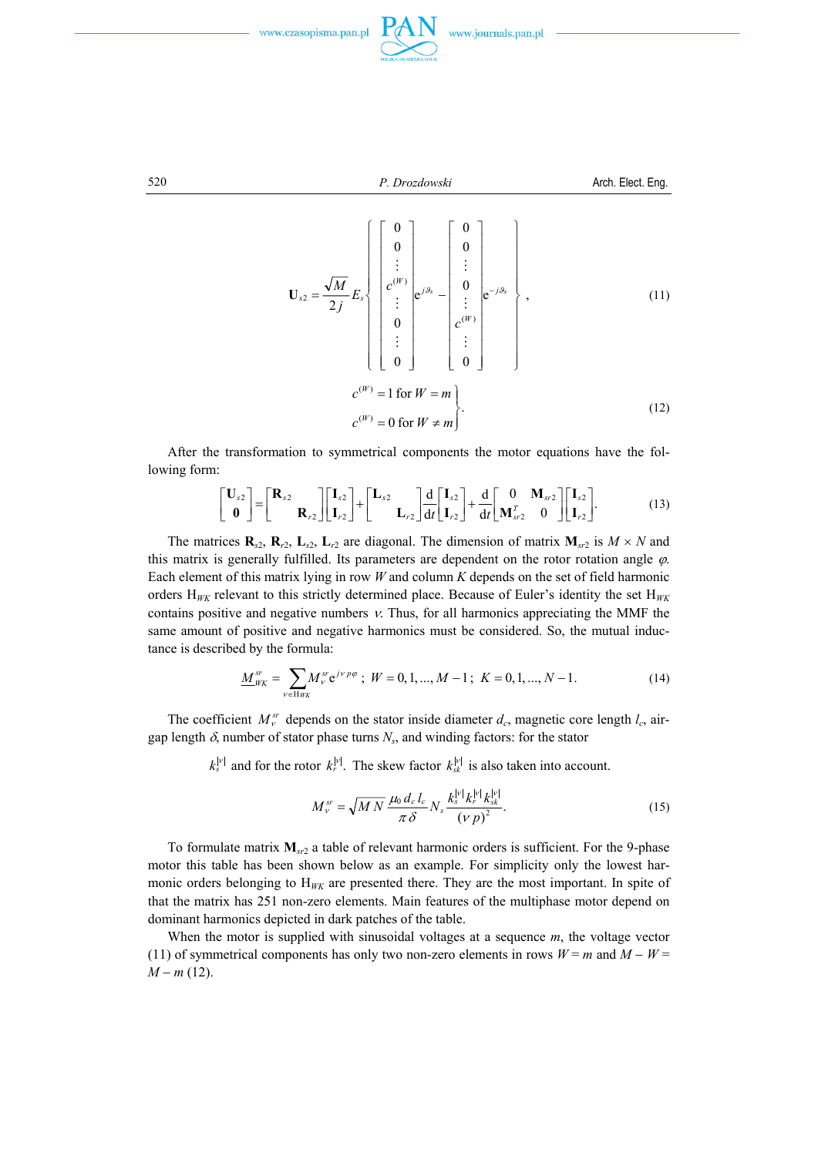

520  
\n*P. Drozdowski*  
\nArch. Elect. Eng.  
\n
$$
\mathbf{U}_{s2} = \frac{\sqrt{M}}{2j} E_s \begin{cases}\n0 \\
0 \\
\vdots \\
c^{(W)} \\
0 \\
\vdots \\
0\n\end{cases} e^{j\theta_s} - \begin{bmatrix}0 \\
0 \\
\vdots \\
0 \\
c^{(W)} \\
\vdots \\
0\n\end{bmatrix} e^{-j\theta_s} \begin{cases}\n0 \\
0 \\
\vdots \\
c^{(W)} \\
\vdots \\
0\n\end{cases}, \qquad (11)
$$
\n
$$
c^{(W)} = 1 \text{ for } W = m \begin{cases}\n0 \\
\vdots \\
0 \\
\vdots \\
c^{(W)}\n\end{cases} \qquad (12)
$$

 After the transformation to symmetrical components the motor equations have the following form:

$$
\begin{bmatrix} \mathbf{U}_{s2} \\ \mathbf{0} \end{bmatrix} = \begin{bmatrix} \mathbf{R}_{s2} \\ \mathbf{R}_{r2} \end{bmatrix} \begin{bmatrix} \mathbf{I}_{s2} \\ \mathbf{I}_{r2} \end{bmatrix} + \begin{bmatrix} \mathbf{L}_{s2} \\ \mathbf{L}_{r2} \end{bmatrix} \frac{d}{dt} \begin{bmatrix} \mathbf{I}_{s2} \\ \mathbf{I}_{r2} \end{bmatrix} + \frac{d}{dt} \begin{bmatrix} 0 \\ \mathbf{M}_{sr2}^T & 0 \end{bmatrix} \begin{bmatrix} \mathbf{I}_{s2} \\ \mathbf{I}_{r2} \end{bmatrix}.
$$
 (13)

The matrices  $\mathbf{R}_{s2}$ ,  $\mathbf{R}_{r2}$ ,  $\mathbf{L}_{s2}$ ,  $\mathbf{L}_{r2}$  are diagonal. The dimension of matrix  $\mathbf{M}_{s}$  is  $M \times N$  and this matrix is generally fulfilled. Its parameters are dependent on the rotor rotation angle  $\varphi$ . Each element of this matrix lying in row *W* and column *K* depends on the set of field harmonic orders  $H_{\mu\nu}$  relevant to this strictly determined place. Because of Euler's identity the set  $H_{\mu\nu}$ contains positive and negative numbers  $\nu$ . Thus, for all harmonics appreciating the MMF the same amount of positive and negative harmonics must be considered. So, the mutual inductance is described by the formula:

$$
\underline{M}_{WK}^{sr} = \sum_{v \in H_{WK}} M_v^{sr} e^{j v \, p \varphi} \; ; \; W = 0, 1, ..., M - 1 \; ; \; K = 0, 1, ..., N - 1. \tag{14}
$$

The coefficient  $M_v^{sr}$  depends on the stator inside diameter  $d_c$ , magnetic core length  $l_c$ , airgap length  $\delta$ , number of stator phase turns  $N_s$ , and winding factors: for the stator

 $k_s^{|V|}$  and for the rotor  $k_r^{|V|}$ . The skew factor  $k_{sk}^{|V|}$  is also taken into account.

$$
M_{\nu}^{sr} = \sqrt{MN} \frac{\mu_0 d_c l_c}{\pi \delta} N_s \frac{k_s^{|\nu|} k_r^{|\nu|} k_{sk}^{|\nu|}}{(\nu p)^2}.
$$
 (15)

 To formulate matrix **M***sr*2 a table of relevant harmonic orders is sufficient. For the 9-phase motor this table has been shown below as an example. For simplicity only the lowest harmonic orders belonging to  $H_{WK}$  are presented there. They are the most important. In spite of that the matrix has 251 non-zero elements. Main features of the multiphase motor depend on dominant harmonics depicted in dark patches of the table.

 When the motor is supplied with sinusoidal voltages at a sequence *m*, the voltage vector (11) of symmetrical components has only two non-zero elements in rows  $W = m$  and  $M - W =$ *M* − *m* (12).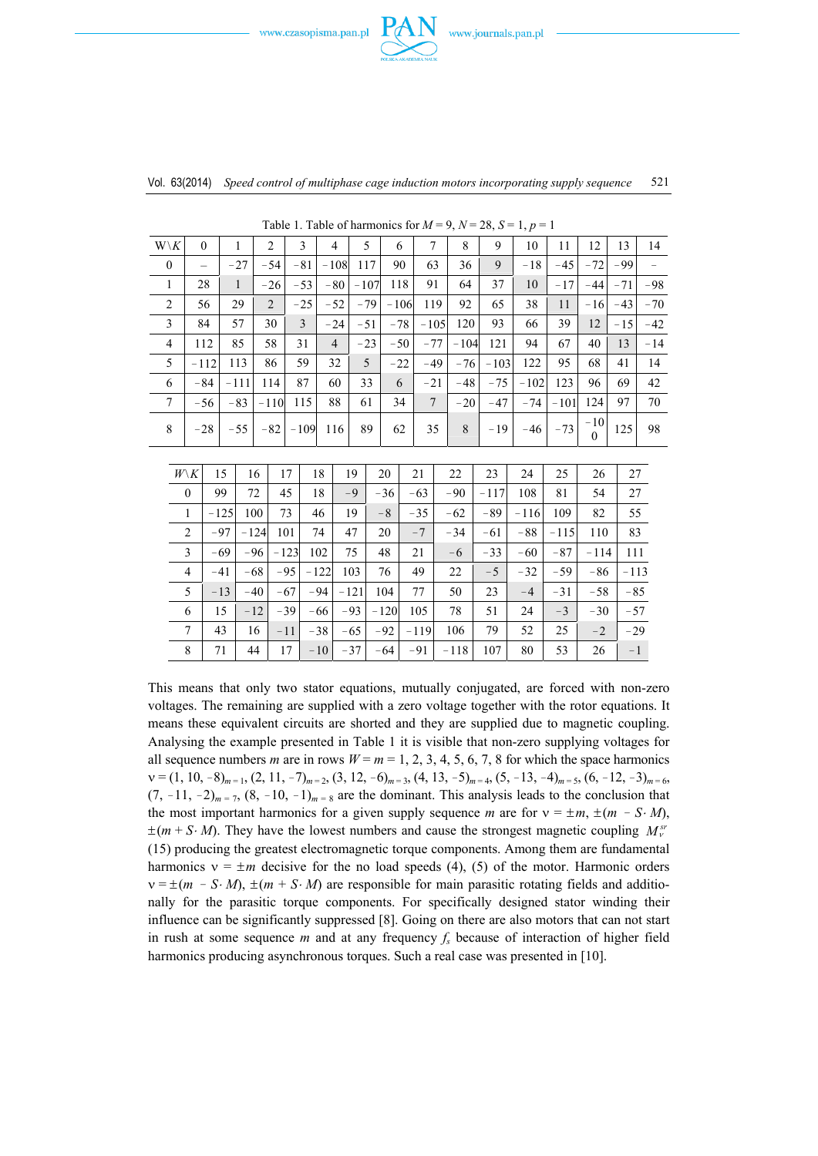



| $W\backslash K$  | $\theta$          |    | $\mathbf{1}$ | 2                    |        | $\overline{3}$ | $\overline{4}$ |                 | 5     |        | 6          |                 |                | 8      | 9        | 10     | 11     | 12                        | 13     | 14    |  |
|------------------|-------------------|----|--------------|----------------------|--------|----------------|----------------|-----------------|-------|--------|------------|-----------------|----------------|--------|----------|--------|--------|---------------------------|--------|-------|--|
| $\boldsymbol{0}$ | $\qquad \qquad -$ |    | $-27$        | $-54$                |        | $-81$          |                | 117<br>$-108$   |       | 90     |            | 63              |                | 36     | 9        | $-18$  | $-45$  | $-72$                     | $-99$  |       |  |
| 1                | 28                |    | $\mathbf{1}$ | $-26$                |        | $-53$          |                | $-80$<br>$-107$ |       |        | 118        | 91              |                | 64     | 37       | 10     | $-17$  | $-44$                     | $-71$  | $-98$ |  |
| $\overline{c}$   | 56                |    |              | $\overline{2}$<br>29 |        | $-25$          |                | $-79$<br>$-52$  |       |        | $-106$     |                 | 119            | 92     | 65       | 38     | 11     | $-16$                     | $-43$  | $-70$ |  |
| 3                | 84                |    | 57           |                      | 30     | $\overline{3}$ | $-24$          |                 | $-51$ |        | $-78$      |                 | $-105$         | 120    | 93       | 66     | 39     | 12                        | $-15$  | $-42$ |  |
| 4                | 112               |    | 85           |                      | 58     | 31             | $\overline{4}$ |                 | $-23$ |        | $-50$      | $-77$           |                | $-104$ | 121      | 94     | 67     | 40                        | 13     | $-14$ |  |
| 5                | $-112$            |    | 113          |                      | 86     | 59             | 32             |                 | 5     |        | $-22$      |                 | $-49$<br>$-76$ |        | $-103$   | 122    | 95     | 68                        | 41     | 14    |  |
| 6                | $-84$             |    | $-111$       |                      | 114    | 87             | 60             |                 | 33    | 6      |            | $-21$           |                | $-48$  | $-75$    | $-102$ | 123    | 96                        | 69     | 42    |  |
| $\tau$           | $-56$             |    | $-83$        |                      | $-110$ | 115            | 88             |                 | 61    | 34     |            | $7\phantom{.0}$ |                | $-20$  | $-47$    | $-74$  | $-101$ | 124                       | 97     | 70    |  |
| 8                | $-28$             |    | $-55$        |                      | $-82$  | $-109$         |                | 116             |       | 62     |            | 35              |                | 8      | $-19$    | $-46$  | $-73$  | $-10$<br>$\boldsymbol{0}$ | 125    | 98    |  |
|                  |                   |    |              |                      |        |                |                |                 |       |        |            |                 |                |        |          |        |        |                           |        |       |  |
|                  | $W\backslash K$   | 15 |              | 16                   | 17     |                | 18             |                 | 19    | 20     |            | 21              | 22             |        | 23<br>24 |        | 25     | 26                        | 27     |       |  |
|                  | $\mathbf{0}$      |    | 99           | 72                   | 45     |                | 18             | $-9$            |       | $-36$  |            | $-63$           | $-90$          |        | $-117$   | 108    | 81     | 54                        | 27     |       |  |
|                  | 1                 |    | $-125$       | 100                  | 73     |                | 46             | 19              |       | $-8$   |            | $-35$           | $-62$          |        | $-89$    | $-116$ | 109    | 82                        | 55     |       |  |
|                  | 2                 |    | $-97$        | $-124$               | 101    |                | 74             |                 | 47    |        | 20<br>$-7$ |                 | $-34$          |        | $-61$    | $-88$  | $-115$ | 110                       | 83     |       |  |
|                  | 3                 |    | -69          | $-96$                | $-123$ |                | 102            |                 | 75    | 48     |            | 21              | $-6$           |        | $-33$    | $-60$  | $-87$  | $-114$                    | 111    |       |  |
|                  | $\overline{4}$    |    | $-41$        | $-68$                | $-95$  |                | $-122$         |                 | 103   | 76     |            | 49              | 22             |        | $-5$     | $-32$  | $-59$  | -86                       | $-113$ |       |  |
|                  | 5                 |    | $-13$        | $-40$                |        | $-67$          | $-94$          | $-121$          |       | 104    |            | 77              | 50             |        | 23       | $-4$   | $-31$  | $-58$                     |        | $-85$ |  |
|                  | 6                 | 15 |              | $-12$                | $-39$  |                | -66            | -93             |       | $-120$ |            | 105             | 78             |        | 51       | 24     | $-3$   | $-30$                     | $-57$  |       |  |

Table 1. Table of harmonics for  $M = 9$ ,  $N = 28$ ,  $S = 1$ ,  $p = 1$ 

This means that only two stator equations, mutually conjugated, are forced with non-zero voltages. The remaining are supplied with a zero voltage together with the rotor equations. It means these equivalent circuits are shorted and they are supplied due to magnetic coupling. Analysing the example presented in Table 1 it is visible that non-zero supplying voltages for all sequence numbers *m* are in rows  $W = m = 1, 2, 3, 4, 5, 6, 7, 8$  for which the space harmonics v = (1, 10, -8)<sub>*m* = 1</sub>, (2, 11, -7)<sub>*m* = 2</sub>, (3, 12, -6)<sub>*m* = 3</sub>, (4, 13, -5)<sub>*m* = 4</sub>, (5, -13, -4)<sub>*m* = 5</sub>, (6, -12, -3)<sub>*m* = 6</sub>,  $(7, -11, -2)_{m} = 7$ ,  $(8, -10, -1)_{m} = 8$  are the dominant. This analysis leads to the conclusion that the most important harmonics for a given supply sequence *m* are for  $v = \pm m$ ,  $\pm (m - S \cdot M)$ ,  $\pm (m + S \cdot M)$ . They have the lowest numbers and cause the strongest magnetic coupling  $M_Y^{\gamma}$ (15) producing the greatest electromagnetic torque components. Among them are fundamental harmonics  $v = \pm m$  decisive for the no load speeds (4), (5) of the motor. Harmonic orders  $v = \pm (m - S \cdot M)$ ,  $\pm (m + S \cdot M)$  are responsible for main parasitic rotating fields and additionally for the parasitic torque components. For specifically designed stator winding their influence can be significantly suppressed [8]. Going on there are also motors that can not start in rush at some sequence  $m$  and at any frequency  $f_s$  because of interaction of higher field harmonics producing asynchronous torques. Such a real case was presented in [10].

 $7$  | 43 | 16 | -11 | -38 | -65 | -92 | -119 | 106 | 79 | 52 | 25 | -2 | -29  $8$  | 71 | 44 | 17 | -10 | -37 | -64 | -91 | -118 | 107 | 80 | 53 | 26 | -1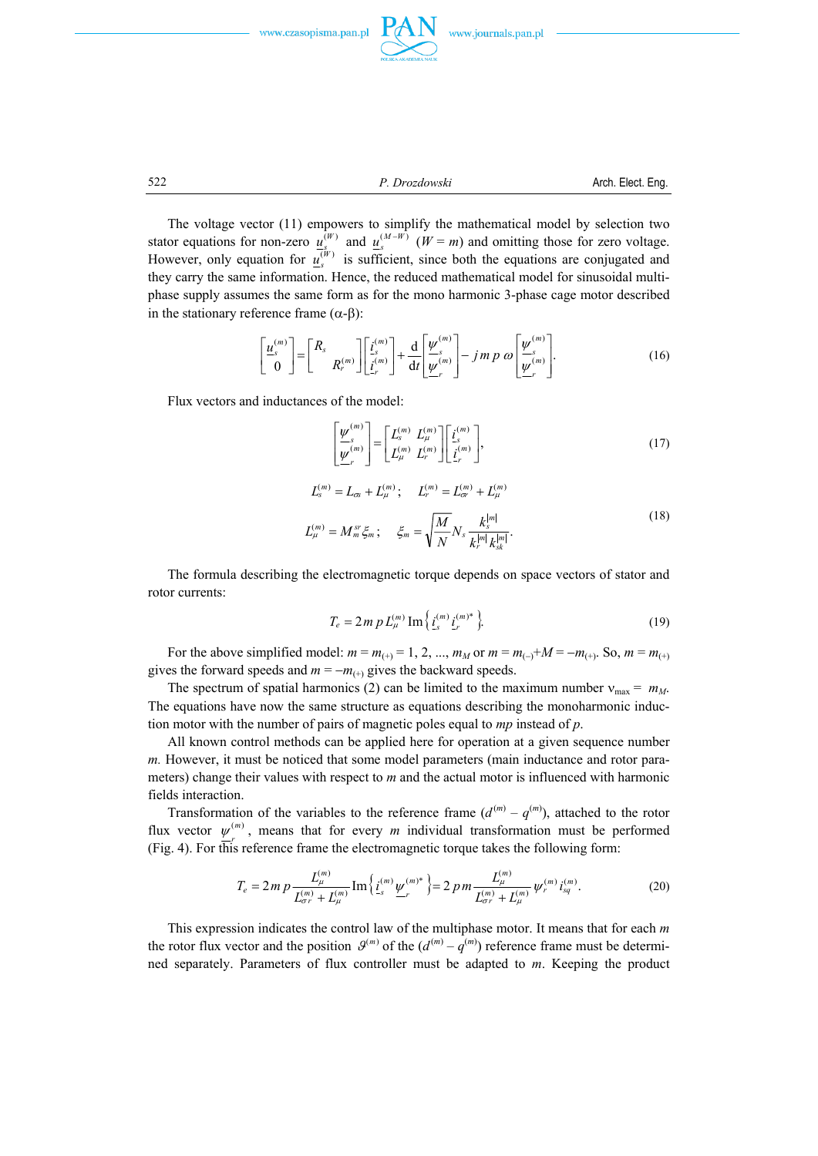



522 *P. Drozdowski* Arch. Elect. Eng.

 The voltage vector (11) empowers to simplify the mathematical model by selection two stator equations for non-zero  $u_s^{(W)}$  and  $u_s^{(M-W)}$  ( $W = m$ ) and omitting those for zero voltage. However, only equation for  $u_s^{(W)}$  is sufficient, since both the equations are conjugated and they carry the same information. Hence, the reduced mathematical model for sinusoidal multiphase supply assumes the same form as for the mono harmonic 3-phase cage motor described in the stationary reference frame  $(α-β)$ :

$$
\begin{bmatrix} \underline{u}_s^{(m)} \\ 0 \end{bmatrix} = \begin{bmatrix} R_s \\ R_r^{(m)} \end{bmatrix} \begin{bmatrix} \underline{i}_s^{(m)} \\ \underline{i}_r^{(m)} \end{bmatrix} + \frac{\mathrm{d}}{\mathrm{d}t} \begin{bmatrix} \underline{\psi}_s^{(m)} \\ \underline{\psi}_r^{(m)} \end{bmatrix} - j \, m \, p \, \omega \begin{bmatrix} \underline{\psi}_s^{(m)} \\ \underline{\psi}_r^{(m)} \end{bmatrix} . \tag{16}
$$

Flux vectors and inductances of the model:

$$
\left[\frac{\underline{\underline{\boldsymbol{\nu}}}_{s}^{(m)}}{\underline{\underline{\boldsymbol{\nu}}}_{r}^{(m)}}\right] = \left[\begin{matrix}L_s^{(m)} & L_{\mu}^{(m)}\\L_{\mu}^{(m)} & L_r^{(m)}\end{matrix}\right] \left[\begin{matrix}i_s^{(m)}\\i_s^{(m)}\\i_r^{(m)}\end{matrix}\right],\tag{17}
$$

$$
L_s^{(m)} = L_{\infty} + L_{\mu}^{(m)}; \qquad L_r^{(m)} = L_{\infty}^{(m)} + L_{\mu}^{(m)}
$$
  

$$
L_{\mu}^{(m)} = M_m^{sr} \xi_m; \qquad \xi_m = \sqrt{\frac{M}{N}} N_s \frac{k_s^{|m|}}{k_r^{|m|} k_{sk}^{|m|}}.
$$
 (18)

 The formula describing the electromagnetic torque depends on space vectors of stator and rotor currents:

$$
T_e = 2m p L_{\mu}^{(m)} \operatorname{Im} \left\{ i_{s}^{(m)} i_{r}^{(m)*} \right\}.
$$
 (19)

For the above simplified model:  $m = m_{(+)} = 1, 2, ..., m_M$  or  $m = m_{(-)} + M = -m_{(+)}$ . So,  $m = m_{(+)}$ gives the forward speeds and  $m = -m_{(+)}$  gives the backward speeds.

The spectrum of spatial harmonics (2) can be limited to the maximum number  $v_{\text{max}} = m_M$ . The equations have now the same structure as equations describing the monoharmonic induction motor with the number of pairs of magnetic poles equal to *mp* instead of *p*.

All known control methods can be applied here for operation at a given sequence number *m.* However, it must be noticed that some model parameters (main inductance and rotor parameters) change their values with respect to *m* and the actual motor is influenced with harmonic fields interaction.

Transformation of the variables to the reference frame  $(d^{(m)} - q^{(m)})$ , attached to the rotor flux vector  $\psi_r^{(m)}$ , means that for every *m* individual transformation must be performed (Fig. 4). For this reference frame the electromagnetic torque takes the following form:

$$
T_e = 2 \, m \, p \, \frac{L_{\mu}^{(m)}}{L_{\sigma r}^{(m)} + L_{\mu}^{(m)}} \, \text{Im} \left\{ \, \underline{i}_{s}^{(m)} \, \underline{\psi}_{r}^{(m)^*} \, \right\} = 2 \, p \, m \, \frac{L_{\mu}^{(m)}}{L_{\sigma r}^{(m)} + L_{\mu}^{(m)}} \, \psi_{r}^{(m)} \, \underline{i}_{sq}^{(m)} \,. \tag{20}
$$

 This expression indicates the control law of the multiphase motor. It means that for each *m* the rotor flux vector and the position  $\mathcal{G}^{(m)}$  of the  $(d^{(m)} - q^{(m)})$  reference frame must be determined separately. Parameters of flux controller must be adapted to *m*. Keeping the product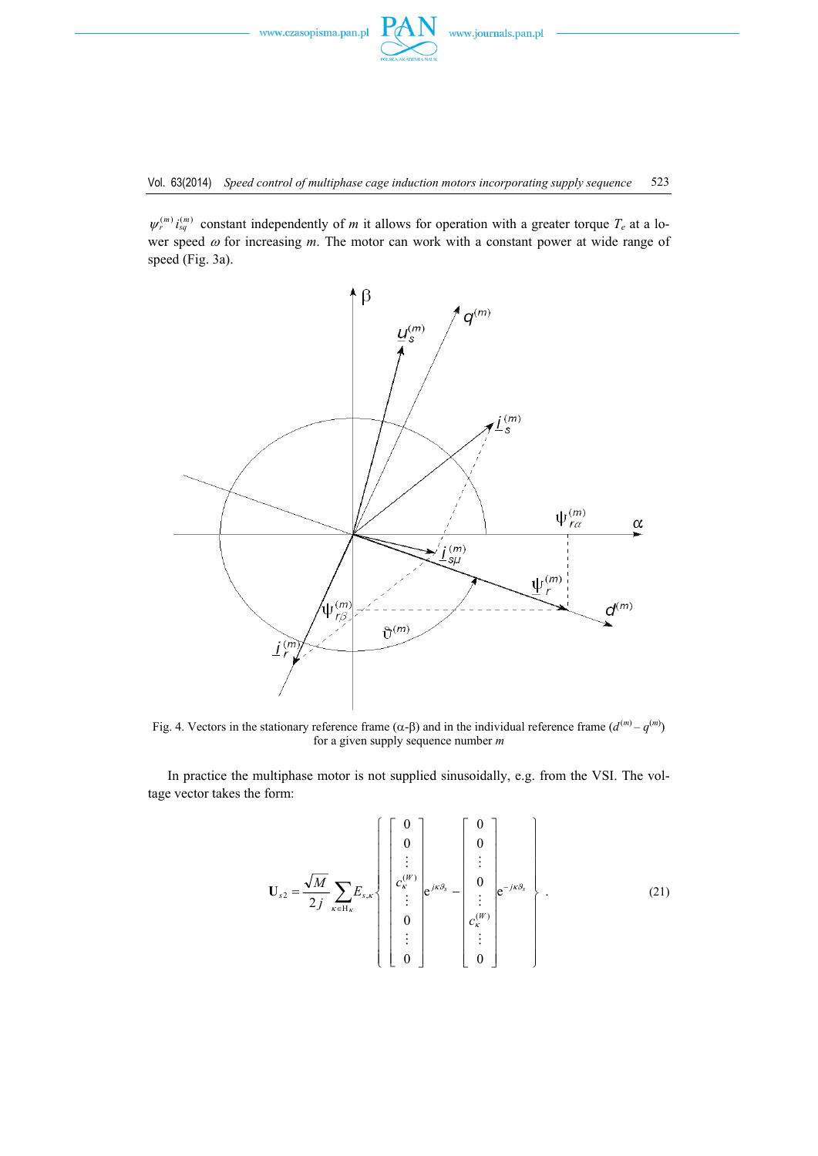

 $\psi_r^{(m)} i_{sq}^{(m)}$  constant independently of *m* it allows for operation with a greater torque  $T_e$  at a lower speed ω for increasing *m*. The motor can work with a constant power at wide range of speed (Fig. 3a).



Fig. 4. Vectors in the stationary reference frame (α-β) and in the individual reference frame  $(d^{(m)} - q^{(m)})$ for a given supply sequence number *m*

 In practice the multiphase motor is not supplied sinusoidally, e.g. from the VSI. The voltage vector takes the form:

$$
\mathbf{U}_{s2} = \frac{\sqrt{M}}{2j} \sum_{\kappa \in \mathcal{H}_{\kappa}} E_{s,\kappa} \left\{ \begin{bmatrix} 0 \\ 0 \\ \vdots \\ c_{\kappa}^{(W)} \\ \vdots \\ 0 \\ 0 \end{bmatrix} e^{j\kappa\theta_{s}} - \begin{bmatrix} 0 \\ 0 \\ \vdots \\ c_{\kappa}^{(W)} \\ \vdots \\ c_{\kappa}^{(W)} \\ \vdots \\ 0 \end{bmatrix} e^{-j\kappa\theta_{s}} \right\}.
$$
(21)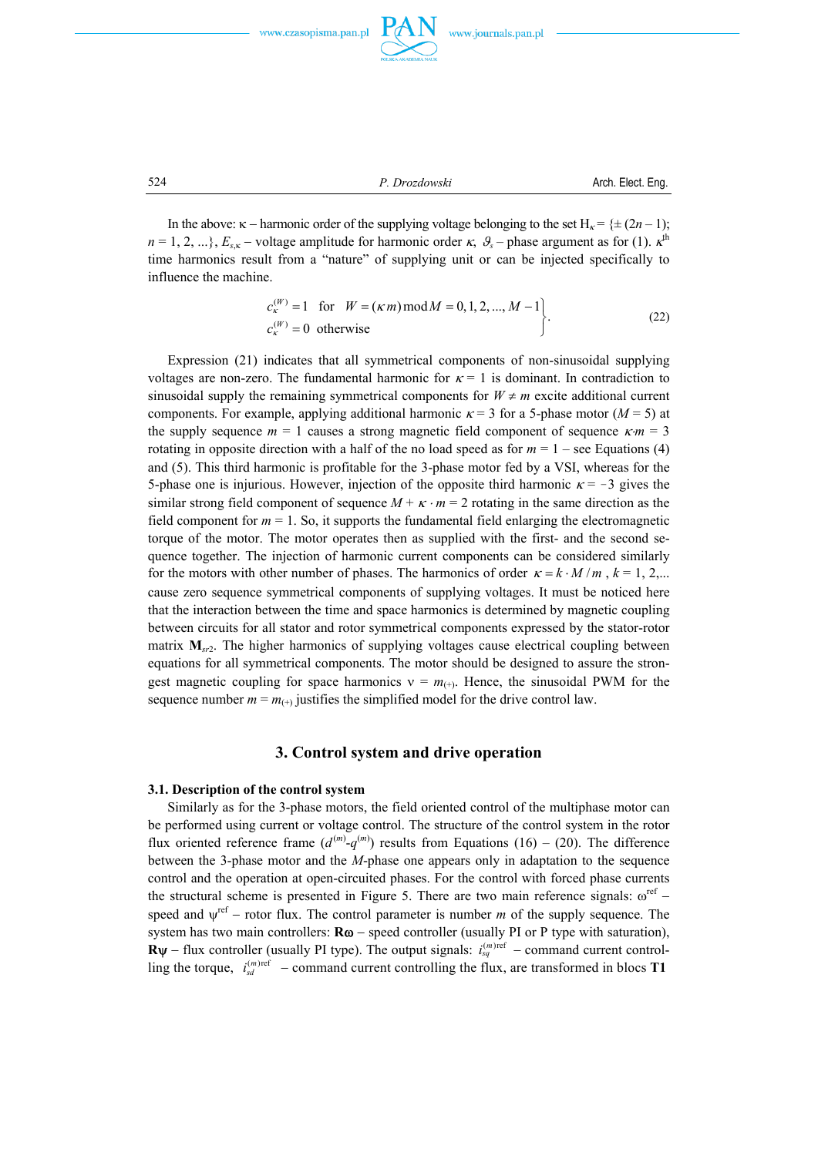



524 *P. Drozdowski* Arch. Elect. Eng.

In the above:  $\kappa$  − harmonic order of the supplying voltage belonging to the set H<sub> $\kappa$ </sub> = { $\pm$  (2*n* – 1);  $n = 1, 2, \ldots$ },  $E_{s,\kappa}$  – voltage amplitude for harmonic order  $\kappa$ ,  $\theta_s$  – phase argument as for (1).  $\kappa$ <sup>th</sup> time harmonics result from a "nature" of supplying unit or can be injected specifically to influence the machine.

$$
c_{\kappa}^{(W)} = 1 \quad \text{for} \quad W = (\kappa \, m) \,\text{mod}\, M = 0, 1, 2, ..., M - 1
$$
  

$$
c_{\kappa}^{(W)} = 0 \quad \text{otherwise}
$$
 (22)

 Expression (21) indicates that all symmetrical components of non-sinusoidal supplying voltages are non-zero. The fundamental harmonic for  $\kappa = 1$  is dominant. In contradiction to sinusoidal supply the remaining symmetrical components for  $W \neq m$  excite additional current components. For example, applying additional harmonic  $\kappa = 3$  for a 5-phase motor ( $M = 5$ ) at the supply sequence  $m = 1$  causes a strong magnetic field component of sequence  $\kappa m = 3$ rotating in opposite direction with a half of the no load speed as for  $m = 1$  – see Equations (4) and (5). This third harmonic is profitable for the 3-phase motor fed by a VSI, whereas for the 5-phase one is injurious. However, injection of the opposite third harmonic  $\kappa = -3$  gives the similar strong field component of sequence  $M + \kappa \cdot m = 2$  rotating in the same direction as the field component for  $m = 1$ . So, it supports the fundamental field enlarging the electromagnetic torque of the motor. The motor operates then as supplied with the first- and the second sequence together. The injection of harmonic current components can be considered similarly for the motors with other number of phases. The harmonics of order  $\kappa = k \cdot M/m$ ,  $k = 1, 2,...$ cause zero sequence symmetrical components of supplying voltages. It must be noticed here that the interaction between the time and space harmonics is determined by magnetic coupling between circuits for all stator and rotor symmetrical components expressed by the stator-rotor matrix  $M_{s}$ <sub>2</sub>. The higher harmonics of supplying voltages cause electrical coupling between equations for all symmetrical components. The motor should be designed to assure the strongest magnetic coupling for space harmonics  $v = m_{(+)}$ . Hence, the sinusoidal PWM for the sequence number  $m = m_{(+)}$  justifies the simplified model for the drive control law.

### **3. Control system and drive operation**

#### **3.1. Description of the control system**

 Similarly as for the 3-phase motors, the field oriented control of the multiphase motor can be performed using current or voltage control. The structure of the control system in the rotor flux oriented reference frame  $(d^{(m)}-q^{(m)})$  results from Equations (16) – (20). The difference between the 3-phase motor and the *M*-phase one appears only in adaptation to the sequence control and the operation at open-circuited phases. For the control with forced phase currents the structural scheme is presented in Figure 5. There are two main reference signals:  $\omega^{ref}$  − speed and  $\psi^{\text{ref}}$  − rotor flux. The control parameter is number *m* of the supply sequence. The system has two main controllers: **Rω** − speed controller (usually PI or P type with saturation), **R** $\psi$  − flux controller (usually PI type). The output signals:  $i_{sq}^{(m)ref}$  – command current controlling the torque,  $i_{sd}^{(m)ref}$  – command current controlling the flux, are transformed in blocs **T1**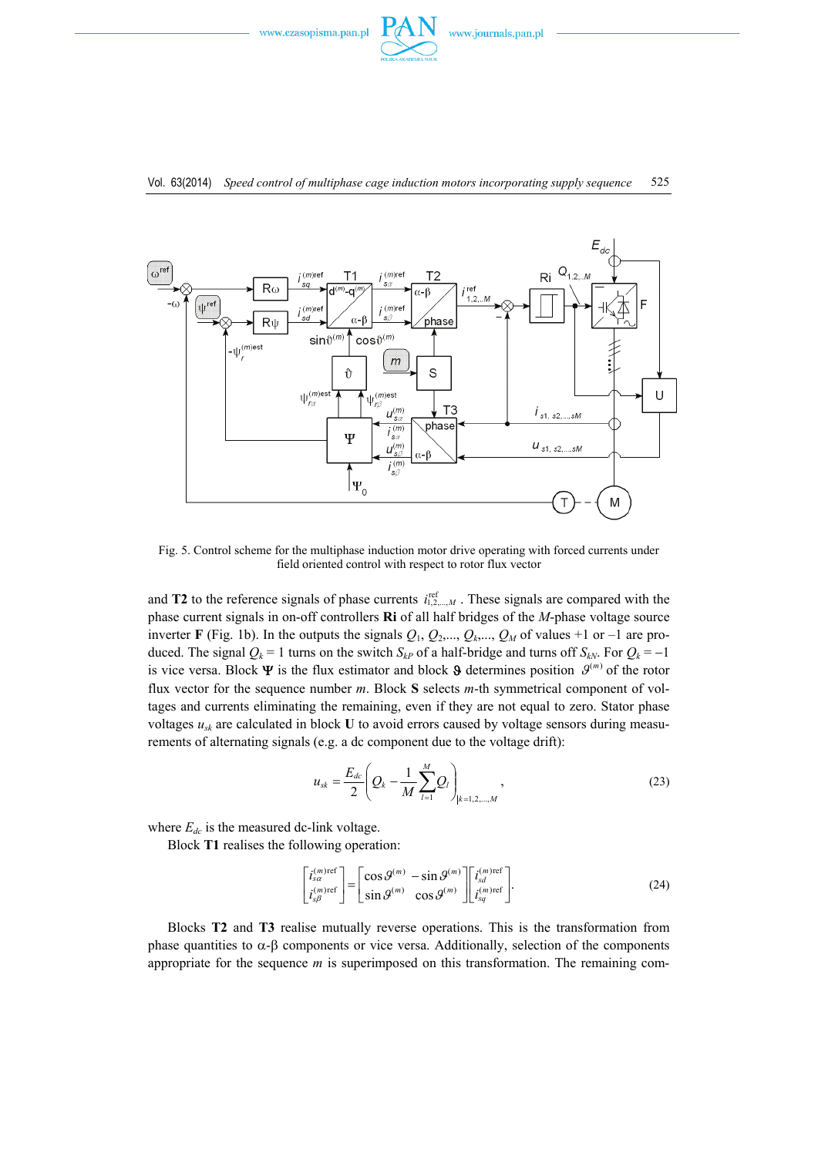



## Vol. 63(2014) *Speed control of multiphase cage induction motors incorporating supply sequence* 525

Fig. 5. Control scheme for the multiphase induction motor drive operating with forced currents under field oriented control with respect to rotor flux vector

and **T2** to the reference signals of phase currents  $i_{1,2,\dots,M}^{ref}$ . These signals are compared with the phase current signals in on-off controllers **Ri** of all half bridges of the *M*-phase voltage source inverter **F** (Fig. 1b). In the outputs the signals  $Q_1$ ,  $Q_2$ ,...,  $Q_k$ ,...,  $Q_M$  of values +1 or -1 are produced. The signal  $Q_k = 1$  turns on the switch  $S_{kP}$  of a half-bridge and turns off  $S_{kN}$ . For  $Q_k = -1$ is vice versa. Block  $\Psi$  is the flux estimator and block  $\Theta$  determines position  $\mathcal{G}^{(m)}$  of the rotor flux vector for the sequence number *m*. Block **S** selects *m*-th symmetrical component of voltages and currents eliminating the remaining, even if they are not equal to zero. Stator phase voltages  $u_{sk}$  are calculated in block **U** to avoid errors caused by voltage sensors during measurements of alternating signals (e.g. a dc component due to the voltage drift):

$$
u_{sk} = \frac{E_{dc}}{2} \left( Q_k - \frac{1}{M} \sum_{l=1}^{M} Q_l \right)_{|k=1,2,...,M}, \qquad (23)
$$

where  $E_{dc}$  is the measured dc-link voltage.

Block **T1** realises the following operation:

$$
\begin{bmatrix} i_s^{(m)\text{ref}} \\ i_{s\beta}^{(m)\text{ref}} \end{bmatrix} = \begin{bmatrix} \cos \theta^{(m)} - \sin \theta^{(m)} \\ \sin \theta^{(m)} - \cos \theta^{(m)} \end{bmatrix} \begin{bmatrix} i_s^{(m)\text{ref}} \\ i_{s\beta}^{(m)\text{ref}} \end{bmatrix} . \tag{24}
$$

 Blocks **T2** and **T3** realise mutually reverse operations. This is the transformation from phase quantities to  $α$ -β components or vice versa. Additionally, selection of the components appropriate for the sequence *m* is superimposed on this transformation. The remaining com-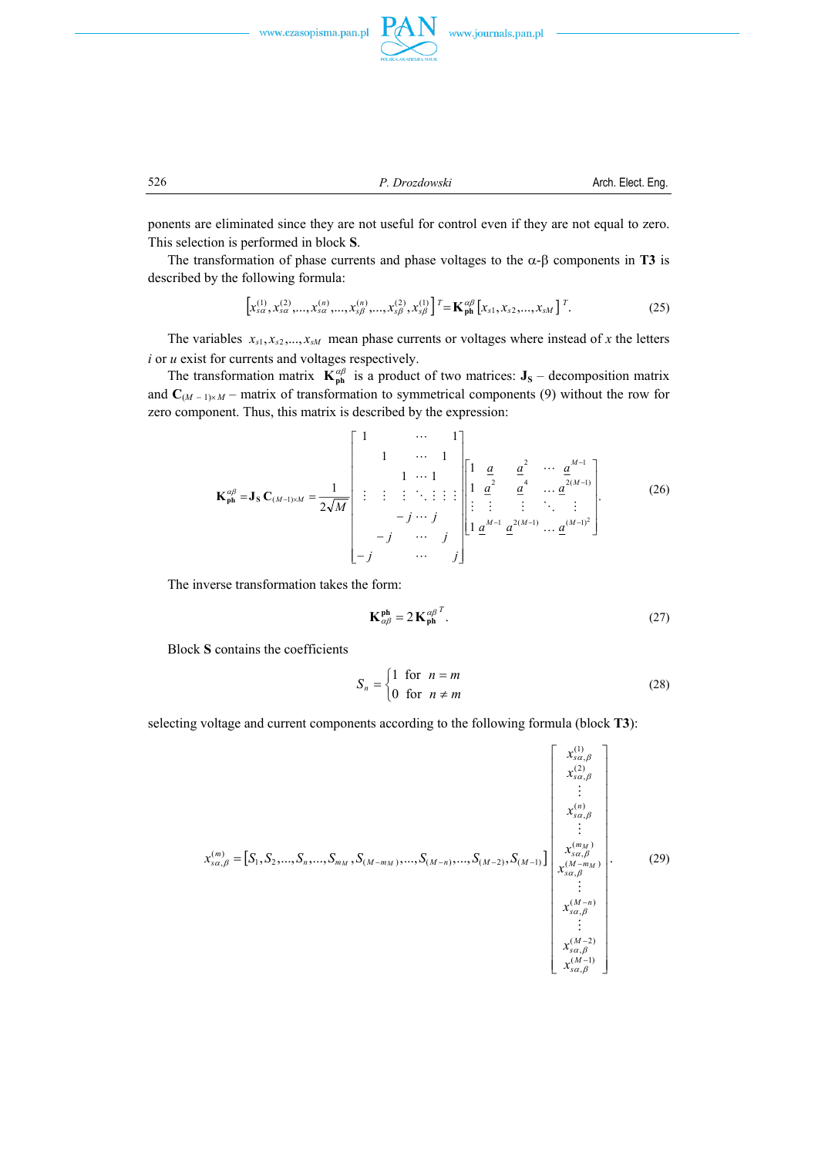





526 *P. Drozdowski* Arch. Elect. Eng.

ponents are eliminated since they are not useful for control even if they are not equal to zero. This selection is performed in block **S**.

The transformation of phase currents and phase voltages to the  $\alpha$ - $\beta$  components in **T3** is described by the following formula:

$$
\left[x_{s\alpha}^{(1)}, x_{s\alpha}^{(2)}, ..., x_{s\alpha}^{(n)}, ..., x_{s\beta}^{(n)}, ..., x_{s\beta}^{(2)}, x_{s\beta}^{(1)}\right]^T = \mathbf{K}_{\text{ph}}^{\alpha\beta} \left[x_{s1}, x_{s2}, ..., x_{sM}\right]^T. \tag{25}
$$

The variables  $x_{s1}, x_{s2},..., x_{sM}$  mean phase currents or voltages where instead of *x* the letters *i* or *u* exist for currents and voltages respectively.

The transformation matrix  $\mathbf{K}_{ph}^{\alpha\beta}$  is a product of two matrices: **J**<sub>S</sub> – decomposition matrix and  $C_{(M-1)\times M}$  – matrix of transformation to symmetrical components (9) without the row for zero component. Thus, this matrix is described by the expression:

$$
\mathbf{K}_{\mathbf{p}\mathbf{h}}^{\alpha\beta} = \mathbf{J}_{\mathbf{S}} \, \mathbf{C}_{(M-1)\times M} = \frac{1}{2\sqrt{M}} \begin{bmatrix} 1 & \cdots & 1 \\ 1 & \cdots & 1 \\ \vdots & \vdots & \ddots & \vdots \\ -j & \cdots & j \\ -j & \cdots & j \end{bmatrix} \begin{bmatrix} 1 & \underline{a} & \underline{a}^{2} & \cdots & \underline{a}^{M-1} \\ 1 & \underline{a}^{2} & \underline{a}^{4} & \cdots & \underline{a}^{2(M-1)} \\ \vdots & \vdots & \vdots & \ddots & \vdots \\ 1 & \underline{a}^{M-1} & \underline{a}^{2(M-1)} & \cdots & \underline{a}^{(M-1)^{2}} \end{bmatrix} .
$$
 (26)

The inverse transformation takes the form:

$$
\mathbf{K}_{\alpha\beta}^{\mathbf{ph}} = 2\,\mathbf{K}_{\mathbf{ph}}^{\alpha\beta} \mathbf{I} \tag{27}
$$

Block **S** contains the coefficients

$$
S_n = \begin{cases} 1 & \text{for } n = m \\ 0 & \text{for } n \neq m \end{cases} \tag{28}
$$

selecting voltage and current components according to the following formula (block **T3**):

$$
x_{sa,\beta}^{(m)} = [S_1, S_2, ..., S_n, ..., S_{m_M}, S_{(M-m_M)}, ..., S_{(M-n)}, ..., S_{(M-2)}, S_{(M-1)}] \begin{bmatrix} x_{sa,\beta}^{(1)} \\ x_{sa,\beta}^{(2)} \\ \vdots \\ x_{sa,\beta}^{(m)} \\ \vdots \\ x_{sa,\beta}^{(M-m_M)} \\ \vdots \\ x_{sa,\beta}^{(M-m)} \\ \vdots \\ x_{sa,\beta}^{(M-n)} \\ \vdots \\ x_{sa,\beta}^{(M-n)} \\ \vdots \\ x_{sa,\beta}^{(M-1)} \\ \vdots \\ x_{sa,\beta}^{(M-2)} \\ \vdots \\ x_{sa,\beta}^{(M-1)} \end{bmatrix} .
$$
 (29)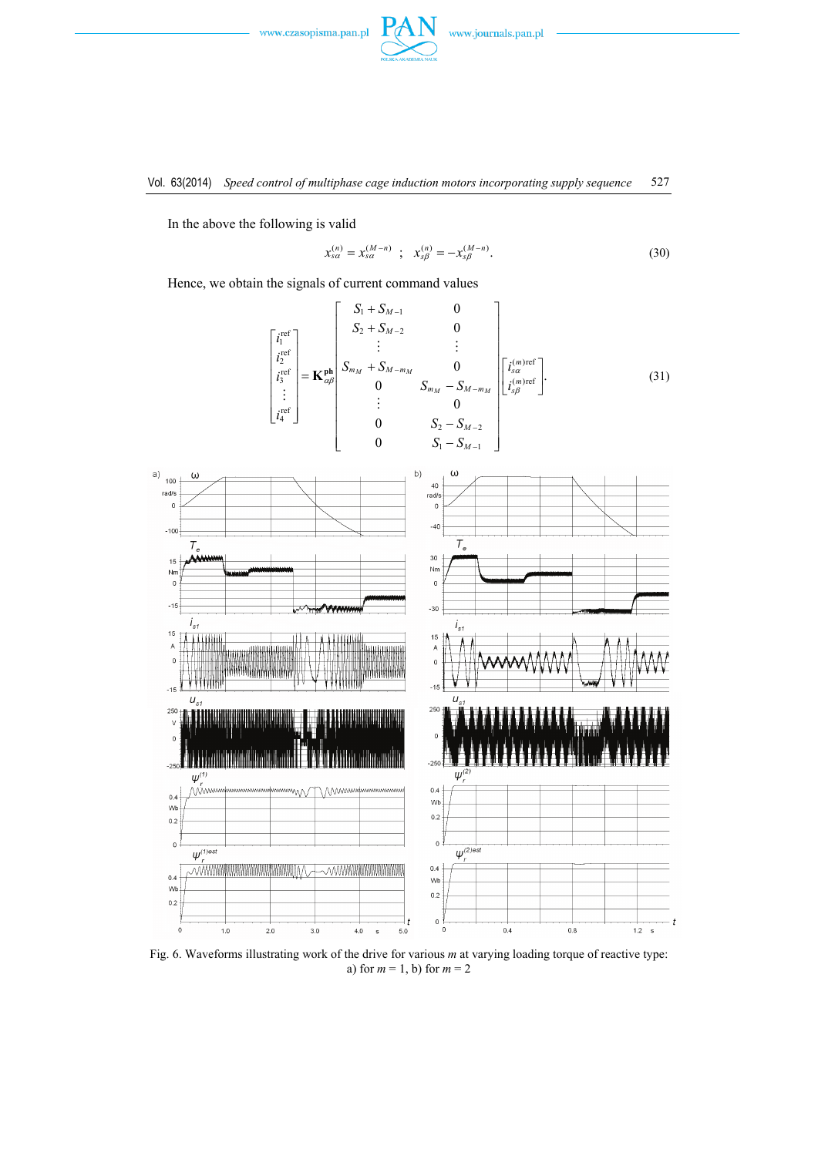

In the above the following is valid

$$
x_{s\alpha}^{(n)} = x_{s\alpha}^{(M-n)} \quad ; \quad x_{s\beta}^{(n)} = -x_{s\beta}^{(M-n)}.
$$
 (30)

Hence, we obtain the signals of current command values

$$
\begin{bmatrix} i_1^{\text{ref}} \\ i_2^{\text{ref}} \\ i_3^{\text{ref}} \\ \vdots \\ i_4^{\text{ref}} \end{bmatrix} = \mathbf{K}_{\alpha\beta}^{\text{ph}} \begin{bmatrix} S_1 + S_{M-1} & 0 \\ S_2 + S_{M-2} & 0 \\ \vdots & \vdots \\ S_{m_M} + S_{M-m_M} & 0 \\ 0 & S_{m_M} - S_{M-m_M} \\ \vdots & 0 \\ 0 & S_2 - S_{M-2} \\ 0 & S_1 - S_{M-1} \end{bmatrix} \begin{bmatrix} i_3^{(m)\text{ref}} \\ i_3^{(m)\text{ref}} \\ \vdots \\ i_5^{(m)\text{ref}} \end{bmatrix} . \tag{31}
$$



Fig. 6. Waveforms illustrating work of the drive for various *m* at varying loading torque of reactive type: a) for *m* = 1, b) for *m* = 2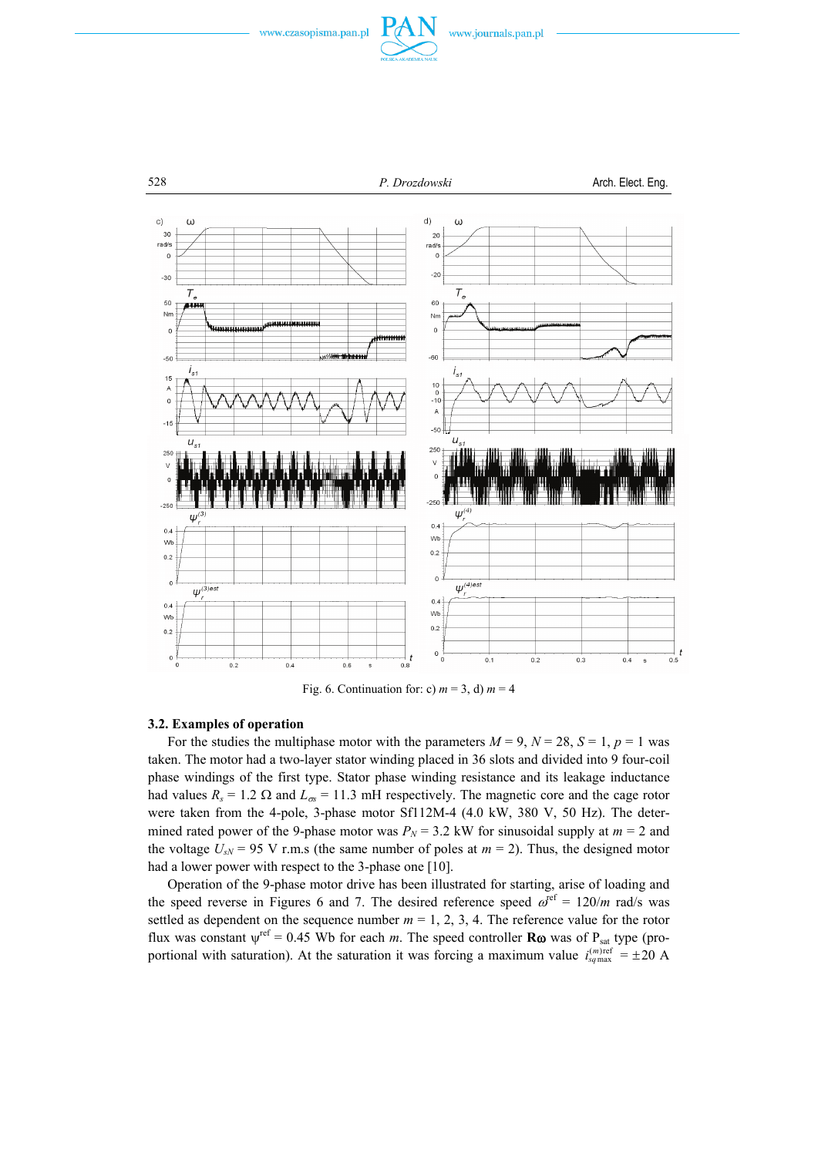







528 *P. Drozdowski* Arch. Elect. Eng.



Fig. 6. Continuation for: c)  $m = 3$ , d)  $m = 4$ 

#### **3.2. Examples of operation**

For the studies the multiphase motor with the parameters  $M = 9$ ,  $N = 28$ ,  $S = 1$ ,  $p = 1$  was taken. The motor had a two-layer stator winding placed in 36 slots and divided into 9 four-coil phase windings of the first type. Stator phase winding resistance and its leakage inductance had values  $R_s = 1.2 \Omega$  and  $L_{\infty} = 11.3$  mH respectively. The magnetic core and the cage rotor were taken from the 4-pole, 3-phase motor Sf112M-4 (4.0 kW, 380 V, 50 Hz). The determined rated power of the 9-phase motor was  $P_N = 3.2$  kW for sinusoidal supply at  $m = 2$  and the voltage  $U_{sN}$  = 95 V r.m.s (the same number of poles at  $m = 2$ ). Thus, the designed motor had a lower power with respect to the 3-phase one [10].

 Operation of the 9-phase motor drive has been illustrated for starting, arise of loading and the speed reverse in Figures 6 and 7. The desired reference speed  $\omega^{\text{ref}} = 120/m$  rad/s was settled as dependent on the sequence number  $m = 1, 2, 3, 4$ . The reference value for the rotor flux was constant  $\psi^{\text{ref}} = 0.45$  Wb for each *m*. The speed controller **R**ω was of P<sub>sat</sub> type (proportional with saturation). At the saturation it was forcing a maximum value  $i_{\text{sgmax}}^{(m)\text{ref}} = \pm 20 \text{ A}$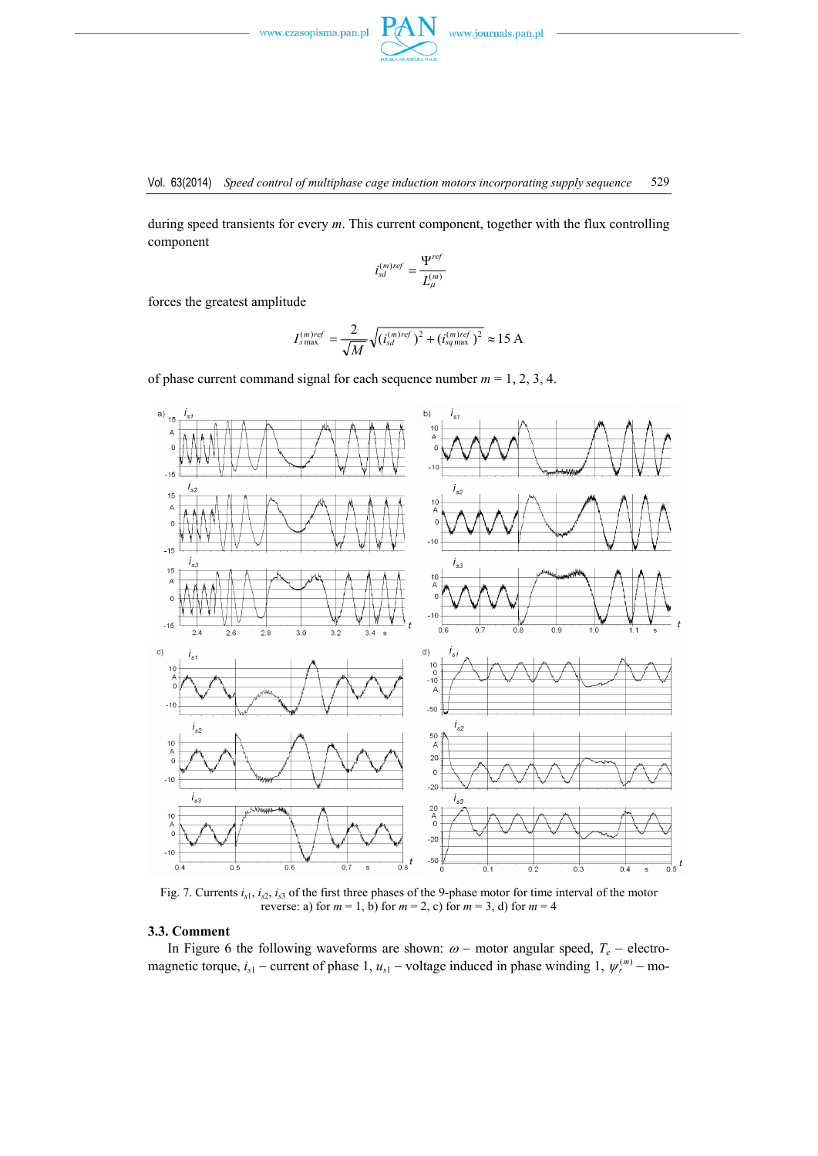during speed transients for every *m*. This current component, together with the flux controlling component

$$
i_{sd}^{(m)ref} = \frac{\Psi^{ref}}{L_{\mu}^{(m)}}
$$

forces the greatest amplitude

$$
I_{s\max}^{(m)ref} = \frac{2}{\sqrt{M}} \sqrt{(i_{sd}^{(m)ref})^2 + (i_{sq\max}^{(m)ref})^2} \approx 15 \text{ A}
$$

of phase current command signal for each sequence number  $m = 1, 2, 3, 4$ .



Fig. 7. Currents *is*1, *is*2, *is*3 of the first three phases of the 9-phase motor for time interval of the motor reverse: a) for  $m = 1$ , b) for  $m = 2$ , c) for  $m = 3$ , d) for  $m = 4$ 

## **3.3. Comment**

In Figure 6 the following waveforms are shown:  $\omega$  − motor angular speed,  $T_e$  − electromagnetic torque,  $i_{s1}$  – current of phase 1,  $u_{s1}$  – voltage induced in phase winding 1,  $\psi_r^{(m)}$  – mo-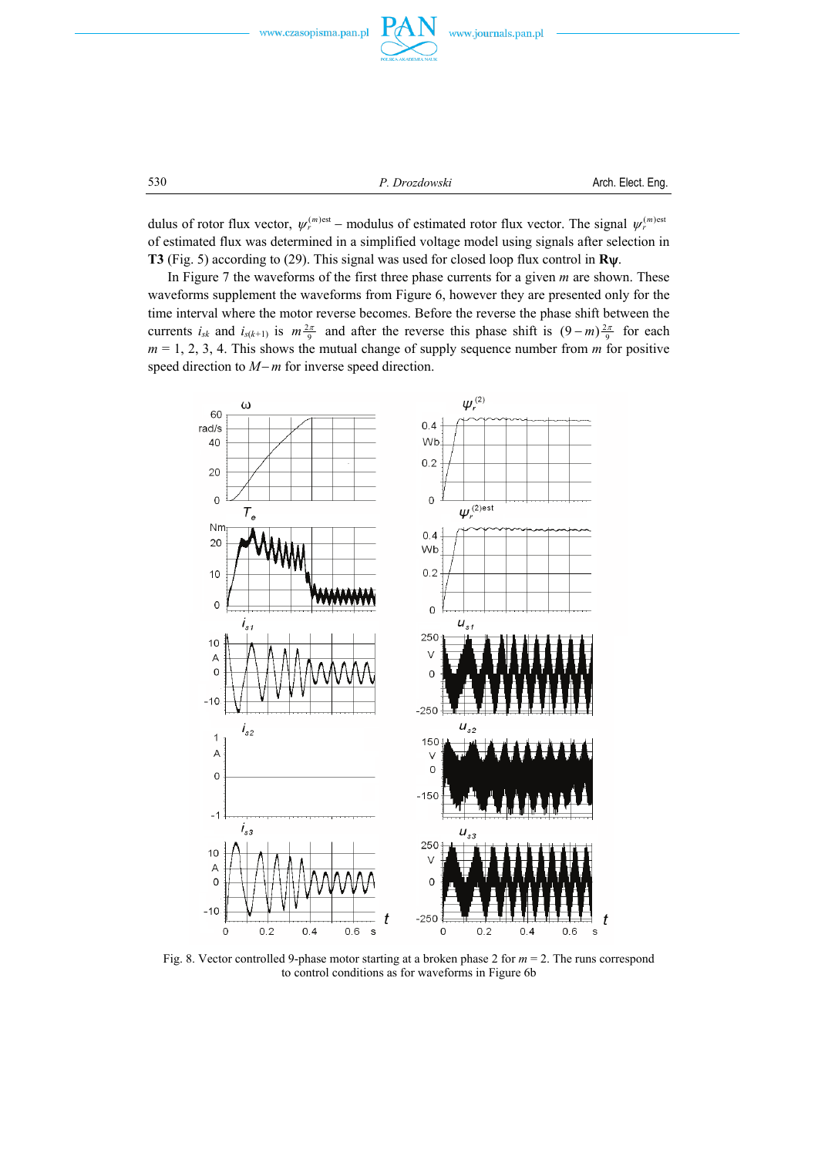





530 *P. Drozdowski* Arch. Elect. Eng.

dulus of rotor flux vector,  $\psi_r^{(m)est}$  – modulus of estimated rotor flux vector. The signal  $\psi_r^{(m)est}$ of estimated flux was determined in a simplified voltage model using signals after selection in **T3** (Fig. 5) according to (29). This signal was used for closed loop flux control in **R**ψ.

 In Figure 7 the waveforms of the first three phase currents for a given *m* are shown. These waveforms supplement the waveforms from Figure 6, however they are presented only for the time interval where the motor reverse becomes. Before the reverse the phase shift between the currents  $i_{sk}$  and  $i_{s(k+1)}$  is  $m \frac{2\pi}{9}$  and after the reverse this phase shift is  $(9-m) \frac{2\pi}{9}$  for each  $m = 1, 2, 3, 4$ . This shows the mutual change of supply sequence number from  $m$  for positive speed direction to *M*−*m* for inverse speed direction.



Fig. 8. Vector controlled 9-phase motor starting at a broken phase 2 for *m* = 2. The runs correspond to control conditions as for waveforms in Figure 6b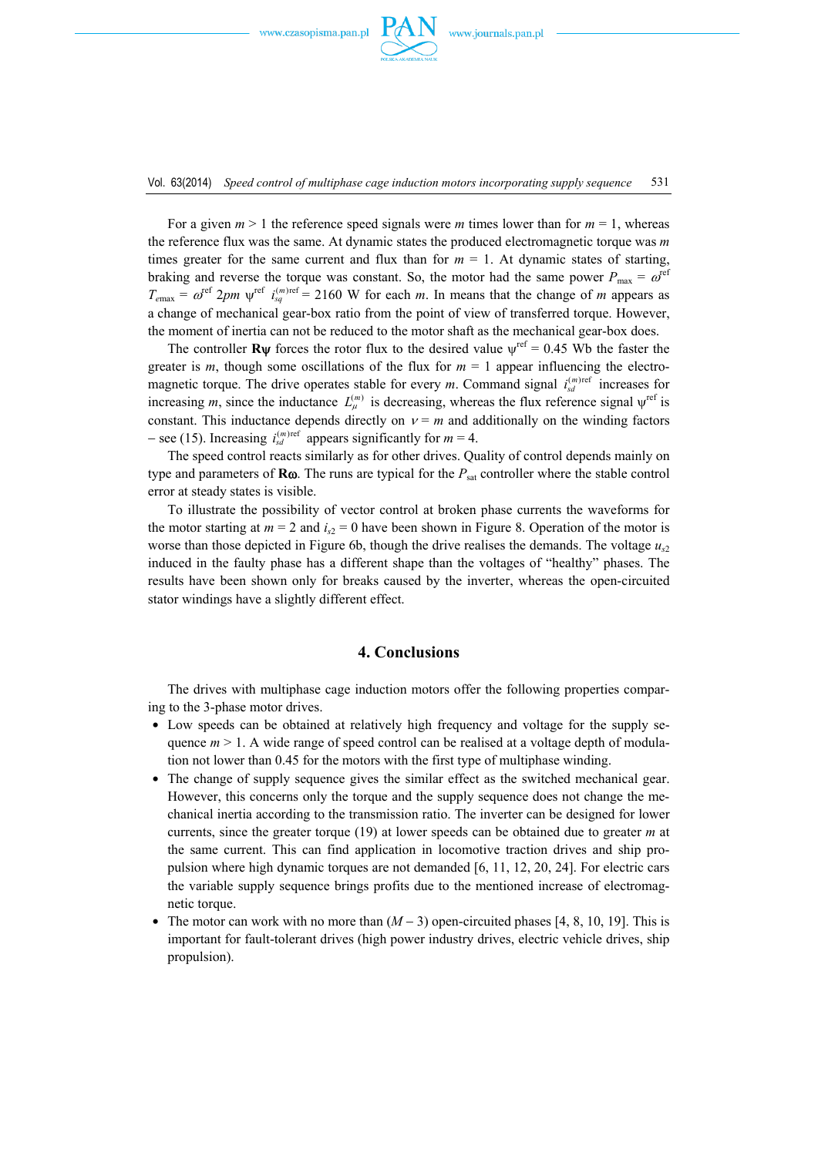

For a given  $m > 1$  the reference speed signals were *m* times lower than for  $m = 1$ , whereas the reference flux was the same. At dynamic states the produced electromagnetic torque was *m* times greater for the same current and flux than for  $m = 1$ . At dynamic states of starting, braking and reverse the torque was constant. So, the motor had the same power  $P_{\text{max}} = \omega^{\text{ref}}$  $T_{\text{emax}} = \omega^{\text{ref}} 2pm$   $\psi^{\text{ref}} i_{\text{sq}}^{(m)\text{ref}} = 2160$  W for each *m*. In means that the change of *m* appears as a change of mechanical gear-box ratio from the point of view of transferred torque. However, the moment of inertia can not be reduced to the motor shaft as the mechanical gear-box does.

The controller **R**ψ forces the rotor flux to the desired value  $\psi^{\text{ref}} = 0.45$  Wb the faster the greater is  $m$ , though some oscillations of the flux for  $m = 1$  appear influencing the electromagnetic torque. The drive operates stable for every *m*. Command signal  $i_{sd}^{(m)ref}$  increases for increasing *m*, since the inductance  $L_{\mu}^{(m)}$  is decreasing, whereas the flux reference signal  $\psi^{\text{ref}}$  is constant. This inductance depends directly on  $v = m$  and additionally on the winding factors  $-$  see (15). Increasing  $i_{sd}^{(m)\text{ref}}$  appears significantly for  $m = 4$ .

 The speed control reacts similarly as for other drives. Quality of control depends mainly on type and parameters of **R**ω. The runs are typical for the *P*sat controller where the stable control error at steady states is visible.

 To illustrate the possibility of vector control at broken phase currents the waveforms for the motor starting at  $m = 2$  and  $i_{s2} = 0$  have been shown in Figure 8. Operation of the motor is worse than those depicted in Figure 6b, though the drive realises the demands. The voltage  $u_{\gamma}$ induced in the faulty phase has a different shape than the voltages of "healthy" phases. The results have been shown only for breaks caused by the inverter, whereas the open-circuited stator windings have a slightly different effect.

## **4. Conclusions**

 The drives with multiphase cage induction motors offer the following properties comparing to the 3-phase motor drives.

- Low speeds can be obtained at relatively high frequency and voltage for the supply sequence  $m > 1$ . A wide range of speed control can be realised at a voltage depth of modulation not lower than 0.45 for the motors with the first type of multiphase winding.
- The change of supply sequence gives the similar effect as the switched mechanical gear. However, this concerns only the torque and the supply sequence does not change the mechanical inertia according to the transmission ratio. The inverter can be designed for lower currents, since the greater torque (19) at lower speeds can be obtained due to greater *m* at the same current. This can find application in locomotive traction drives and ship propulsion where high dynamic torques are not demanded [6, 11, 12, 20, 24]. For electric cars the variable supply sequence brings profits due to the mentioned increase of electromagnetic torque.
- The motor can work with no more than  $(M-3)$  open-circuited phases [4, 8, 10, 19]. This is important for fault-tolerant drives (high power industry drives, electric vehicle drives, ship propulsion).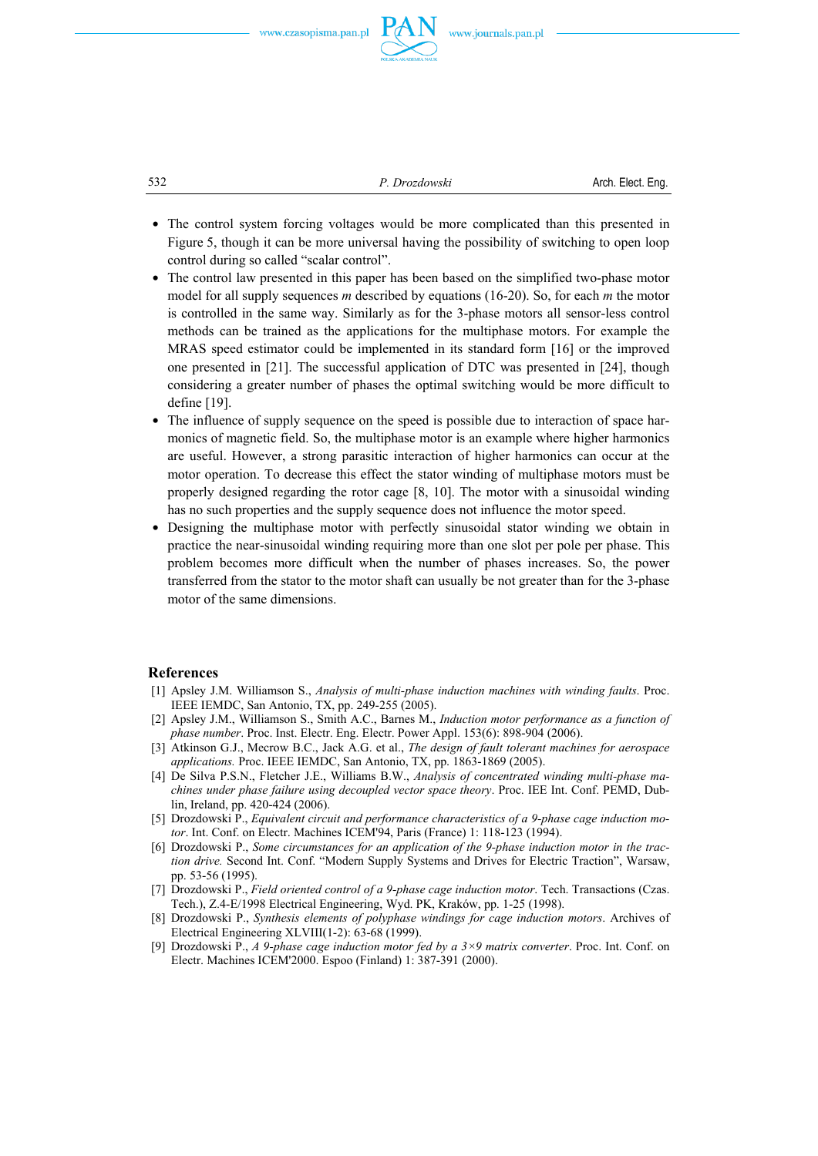

532 *P. Drozdowski* Arch. Elect. Eng.

- The control system forcing voltages would be more complicated than this presented in Figure 5, though it can be more universal having the possibility of switching to open loop control during so called "scalar control".
- The control law presented in this paper has been based on the simplified two-phase motor model for all supply sequences *m* described by equations (16-20). So, for each *m* the motor is controlled in the same way. Similarly as for the 3-phase motors all sensor-less control methods can be trained as the applications for the multiphase motors. For example the MRAS speed estimator could be implemented in its standard form [16] or the improved one presented in [21]. The successful application of DTC was presented in [24], though considering a greater number of phases the optimal switching would be more difficult to define [19].
- The influence of supply sequence on the speed is possible due to interaction of space harmonics of magnetic field. So, the multiphase motor is an example where higher harmonics are useful. However, a strong parasitic interaction of higher harmonics can occur at the motor operation. To decrease this effect the stator winding of multiphase motors must be properly designed regarding the rotor cage [8, 10]. The motor with a sinusoidal winding has no such properties and the supply sequence does not influence the motor speed.
- Designing the multiphase motor with perfectly sinusoidal stator winding we obtain in practice the near-sinusoidal winding requiring more than one slot per pole per phase. This problem becomes more difficult when the number of phases increases. So, the power transferred from the stator to the motor shaft can usually be not greater than for the 3-phase motor of the same dimensions.

#### **References**

- [1] Apsley J.M. Williamson S., *Analysis of multi-phase induction machines with winding faults*. Proc. IEEE IEMDC, San Antonio, TX, pp. 249-255 (2005).
- [2] Apsley J.M., Williamson S., Smith A.C., Barnes M., *Induction motor performance as a function of phase number*. Proc. Inst. Electr. Eng. Electr. Power Appl. 153(6): 898-904 (2006).
- [3] Atkinson G.J., Mecrow B.C., Jack A.G. et al., *The design of fault tolerant machines for aerospace applications.* Proc. IEEE IEMDC, San Antonio, TX, pp. 1863-1869 (2005).
- [4] De Silva P.S.N., Fletcher J.E., Williams B.W., *Analysis of concentrated winding multi-phase machines under phase failure using decoupled vector space theory*. Proc. IEE Int. Conf. PEMD, Dublin, Ireland, pp. 420-424 (2006).
- [5] Drozdowski P., *Equivalent circuit and performance characteristics of a 9-phase cage induction motor*. Int. Conf. on Electr. Machines ICEM'94, Paris (France) 1: 118-123 (1994).
- [6] Drozdowski P., *Some circumstances for an application of the 9-phase induction motor in the traction drive.* Second Int. Conf. "Modern Supply Systems and Drives for Electric Traction", Warsaw, pp. 53-56 (1995).
- [7] Drozdowski P., *Field oriented control of a 9-phase cage induction motor*. Tech. Transactions (Czas. Tech.), Z.4-E/1998 Electrical Engineering, Wyd. PK, Kraków, pp. 1-25 (1998).
- [8] Drozdowski P., *Synthesis elements of polyphase windings for cage induction motors*. Archives of Electrical Engineering XLVIII(1-2): 63-68 (1999).
- [9] Drozdowski P., *A 9-phase cage induction motor fed by a 3×9 matrix converter*. Proc. Int. Conf. on Electr. Machines ICEM'2000. Espoo (Finland) 1: 387-391 (2000).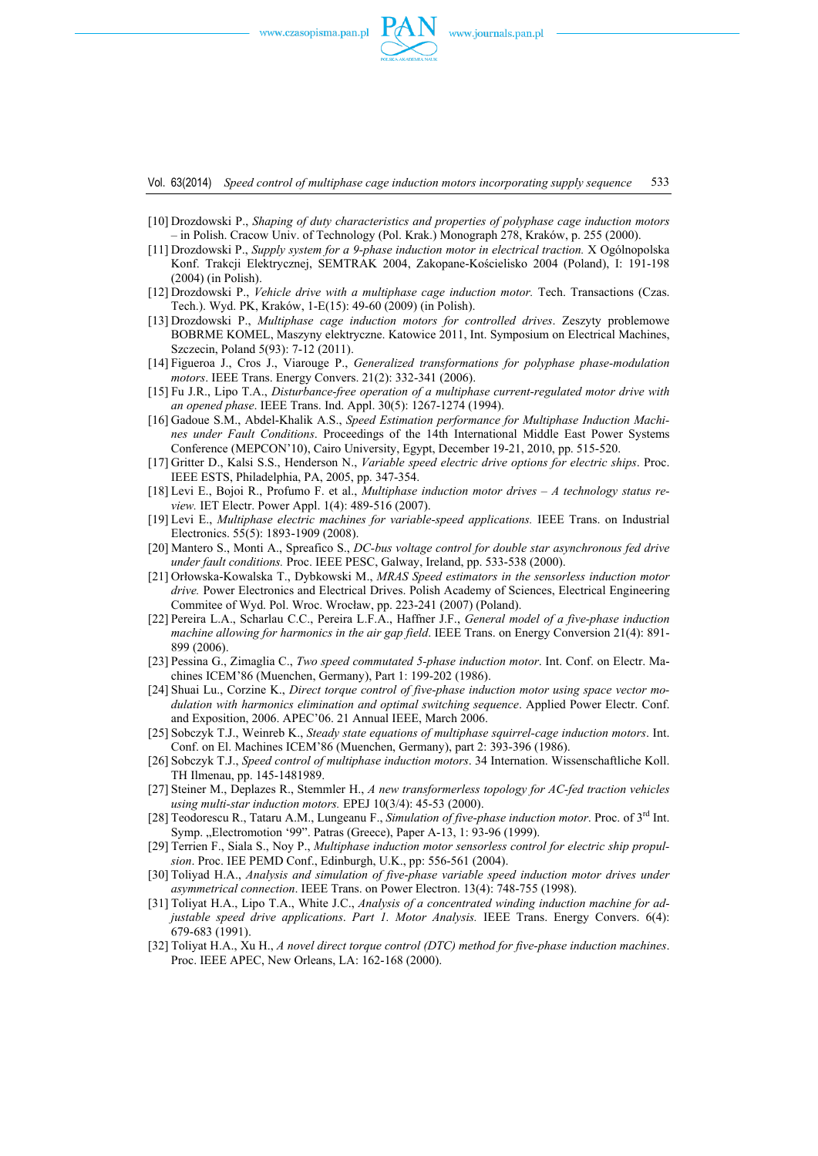

Vol. 63(2014) *Speed control of multiphase cage induction motors incorporating supply sequence* 533

- [10] Drozdowski P., *Shaping of duty characteristics and properties of polyphase cage induction motors* – in Polish. Cracow Univ. of Technology (Pol. Krak.) Monograph 278, Kraków, p. 255 (2000).
- [11] Drozdowski P., *Supply system for a 9-phase induction motor in electrical traction.* X Ogólnopolska Konf. Trakcji Elektrycznej, SEMTRAK 2004, Zakopane-Kościelisko 2004 (Poland), I: 191-198 (2004) (in Polish).
- [12] Drozdowski P., *Vehicle drive with a multiphase cage induction motor.* Tech. Transactions (Czas. Tech.). Wyd. PK, Kraków, 1-E(15): 49-60 (2009) (in Polish).
- [13] Drozdowski P., *Multiphase cage induction motors for controlled drives*. Zeszyty problemowe BOBRME KOMEL, Maszyny elektryczne. Katowice 2011, Int. Symposium on Electrical Machines, Szczecin, Poland 5(93): 7-12 (2011).
- [14] Figueroa J., Cros J., Viarouge P., *Generalized transformations for polyphase phase-modulation motors*. IEEE Trans. Energy Convers. 21(2): 332-341 (2006).
- [15] Fu J.R., Lipo T.A., *Disturbance-free operation of a multiphase current-regulated motor drive with an opened phase*. IEEE Trans. Ind. Appl. 30(5): 1267-1274 (1994).
- [16] Gadoue S.M., Abdel-Khalik A.S., *Speed Estimation performance for Multiphase Induction Machines under Fault Conditions*. Proceedings of the 14th International Middle East Power Systems Conference (MEPCON'10), Cairo University, Egypt, December 19-21, 2010, pp. 515-520.
- [17] Gritter D., Kalsi S.S., Henderson N., *Variable speed electric drive options for electric ships*. Proc. IEEE ESTS, Philadelphia, PA, 2005, pp. 347-354.
- [18] Levi E., Bojoi R., Profumo F. et al., *Multiphase induction motor drives A technology status review.* IET Electr. Power Appl. 1(4): 489-516 (2007).
- [19] Levi E., *Multiphase electric machines for variable-speed applications.* IEEE Trans. on Industrial Electronics. 55(5): 1893-1909 (2008).
- [20] Mantero S., Monti A., Spreafico S., *DC-bus voltage control for double star asynchronous fed drive under fault conditions.* Proc. IEEE PESC, Galway, Ireland, pp. 533-538 (2000).
- [21] Orłowska-Kowalska T., Dybkowski M., *MRAS Speed estimators in the sensorless induction motor drive.* Power Electronics and Electrical Drives. Polish Academy of Sciences, Electrical Engineering Commitee of Wyd. Pol. Wroc. Wrocław, pp. 223-241 (2007) (Poland).
- [22] Pereira L.A., Scharlau C.C., Pereira L.F.A., Haffner J.F., *General model of a five-phase induction machine allowing for harmonics in the air gap field*. IEEE Trans. on Energy Conversion 21(4): 891- 899 (2006).
- [23] Pessina G., Zimaglia C., *Two speed commutated 5-phase induction motor*. Int. Conf. on Electr. Machines ICEM'86 (Muenchen, Germany), Part 1: 199-202 (1986).
- [24] Shuai Lu., Corzine K., *Direct torque control of five-phase induction motor using space vector modulation with harmonics elimination and optimal switching sequence*. Applied Power Electr. Conf. and Exposition, 2006. APEC'06. 21 Annual IEEE, March 2006.
- [25] Sobczyk T.J., Weinreb K., *Steady state equations of multiphase squirrel-cage induction motors*. Int. Conf. on El. Machines ICEM'86 (Muenchen, Germany), part 2: 393-396 (1986).
- [26] Sobczyk T.J., *Speed control of multiphase induction motors*. 34 Internation. Wissenschaftliche Koll. TH Ilmenau, pp. 145-1481989.
- [27] Steiner M., Deplazes R., Stemmler H., *A new transformerless topology for AC-fed traction vehicles using multi-star induction motors.* EPEJ 10(3/4): 45-53 (2000).
- [28] Teodorescu R., Tataru A.M., Lungeanu F., *Simulation of five-phase induction motor*. Proc. of 3rd Int. Symp. "Electromotion '99". Patras (Greece), Paper A-13, 1: 93-96 (1999).
- [29] Terrien F., Siala S., Noy P., *Multiphase induction motor sensorless control for electric ship propulsion*. Proc. IEE PEMD Conf., Edinburgh, U.K., pp: 556-561 (2004).
- [30] Toliyad H.A., *Analysis and simulation of five-phase variable speed induction motor drives under asymmetrical connection*. IEEE Trans. on Power Electron. 13(4): 748-755 (1998).
- [31] Toliyat H.A., Lipo T.A., White J.C., *Analysis of a concentrated winding induction machine for adjustable speed drive applications*. *Part 1. Motor Analysis.* IEEE Trans. Energy Convers. 6(4): 679-683 (1991).
- [32] Toliyat H.A., Xu H., *A novel direct torque control (DTC) method for five-phase induction machines*. Proc. IEEE APEC, New Orleans, LA: 162-168 (2000).